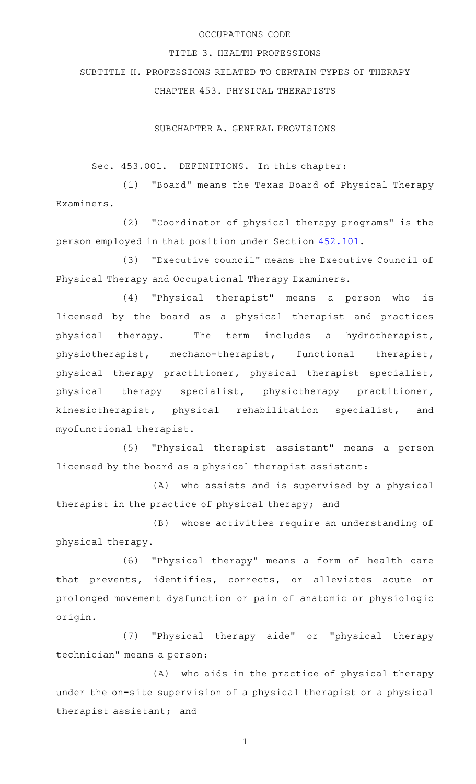## OCCUPATIONS CODE

## TITLE 3. HEALTH PROFESSIONS

SUBTITLE H. PROFESSIONS RELATED TO CERTAIN TYPES OF THERAPY

CHAPTER 453. PHYSICAL THERAPISTS

SUBCHAPTER A. GENERAL PROVISIONS

Sec. 453.001. DEFINITIONS. In this chapter:

(1) "Board" means the Texas Board of Physical Therapy Examiners.

(2) "Coordinator of physical therapy programs" is the person employed in that position under Section [452.101.](https://statutes.capitol.texas.gov/GetStatute.aspx?Code=OC&Value=452.101)

(3) "Executive council" means the Executive Council of Physical Therapy and Occupational Therapy Examiners.

(4) "Physical therapist" means a person who is licensed by the board as a physical therapist and practices physical therapy. The term includes a hydrotherapist, physiotherapist, mechano-therapist, functional therapist, physical therapy practitioner, physical therapist specialist, physical therapy specialist, physiotherapy practitioner, kinesiotherapist, physical rehabilitation specialist, and myofunctional therapist.

(5) "Physical therapist assistant" means a person licensed by the board as a physical therapist assistant:

(A) who assists and is supervised by a physical therapist in the practice of physical therapy; and

(B) whose activities require an understanding of physical therapy.

(6) "Physical therapy" means a form of health care that prevents, identifies, corrects, or alleviates acute or prolonged movement dysfunction or pain of anatomic or physiologic origin.

(7) "Physical therapy aide" or "physical therapy technician" means a person:

(A) who aids in the practice of physical therapy under the on-site supervision of a physical therapist or a physical therapist assistant; and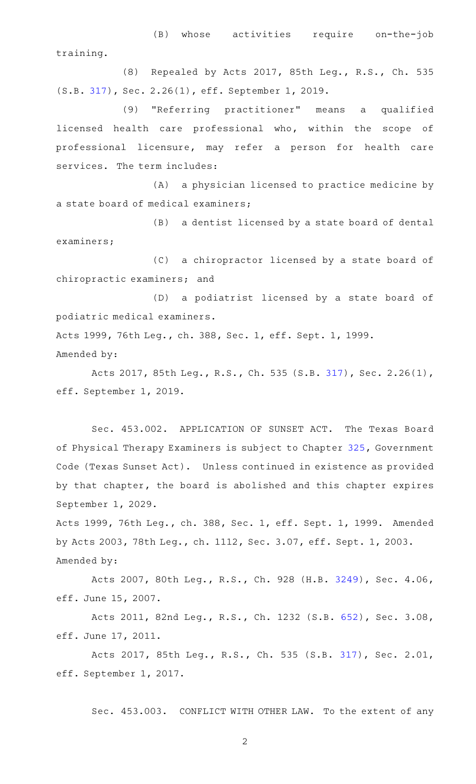(B) whose activities require on-the-job training.

(8) Repealed by Acts 2017, 85th Leg., R.S., Ch. 535 (S.B. [317](http://www.legis.state.tx.us/tlodocs/85R/billtext/html/SB00317F.HTM)), Sec. 2.26(1), eff. September 1, 2019.

(9) "Referring practitioner" means a qualified licensed health care professional who, within the scope of professional licensure, may refer a person for health care services. The term includes:

(A) a physician licensed to practice medicine by a state board of medical examiners;

(B) a dentist licensed by a state board of dental examiners;

(C) a chiropractor licensed by a state board of chiropractic examiners; and

(D) a podiatrist licensed by a state board of podiatric medical examiners.

Acts 1999, 76th Leg., ch. 388, Sec. 1, eff. Sept. 1, 1999. Amended by:

Acts 2017, 85th Leg., R.S., Ch. 535 (S.B. [317](http://www.legis.state.tx.us/tlodocs/85R/billtext/html/SB00317F.HTM)), Sec. 2.26(1), eff. September 1, 2019.

Sec. 453.002. APPLICATION OF SUNSET ACT. The Texas Board of Physical Therapy Examiners is subject to Chapter [325,](https://statutes.capitol.texas.gov/GetStatute.aspx?Code=GV&Value=325) Government Code (Texas Sunset Act). Unless continued in existence as provided by that chapter, the board is abolished and this chapter expires September 1, 2029.

Acts 1999, 76th Leg., ch. 388, Sec. 1, eff. Sept. 1, 1999. Amended by Acts 2003, 78th Leg., ch. 1112, Sec. 3.07, eff. Sept. 1, 2003. Amended by:

Acts 2007, 80th Leg., R.S., Ch. 928 (H.B. [3249\)](http://www.legis.state.tx.us/tlodocs/80R/billtext/html/HB03249F.HTM), Sec. 4.06, eff. June 15, 2007.

Acts 2011, 82nd Leg., R.S., Ch. 1232 (S.B. [652\)](http://www.legis.state.tx.us/tlodocs/82R/billtext/html/SB00652F.HTM), Sec. 3.08, eff. June 17, 2011.

Acts 2017, 85th Leg., R.S., Ch. 535 (S.B. [317](http://www.legis.state.tx.us/tlodocs/85R/billtext/html/SB00317F.HTM)), Sec. 2.01, eff. September 1, 2017.

Sec. 453.003. CONFLICT WITH OTHER LAW. To the extent of any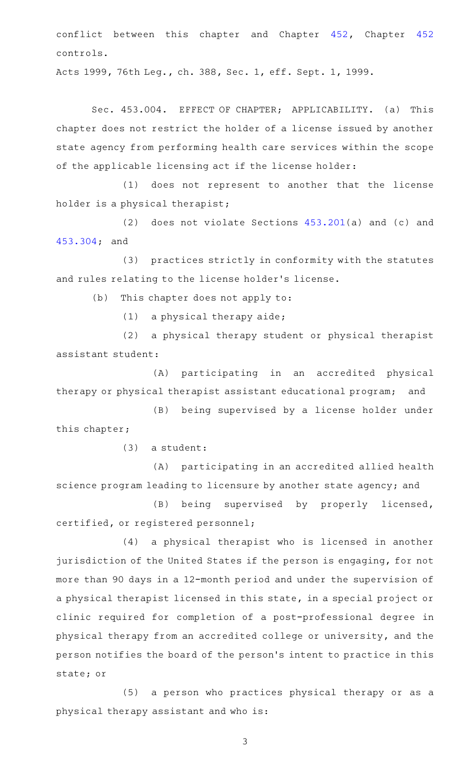conflict between this chapter and Chapter [452,](https://statutes.capitol.texas.gov/GetStatute.aspx?Code=OC&Value=452) Chapter [452](https://statutes.capitol.texas.gov/GetStatute.aspx?Code=OC&Value=452) controls.

Acts 1999, 76th Leg., ch. 388, Sec. 1, eff. Sept. 1, 1999.

Sec. 453.004. EFFECT OF CHAPTER; APPLICABILITY. (a) This chapter does not restrict the holder of a license issued by another state agency from performing health care services within the scope of the applicable licensing act if the license holder:

(1) does not represent to another that the license holder is a physical therapist;

(2) does not violate Sections  $453.201(a)$  $453.201(a)$  and (c) and [453.304;](https://statutes.capitol.texas.gov/GetStatute.aspx?Code=OC&Value=453.304) and

(3) practices strictly in conformity with the statutes and rules relating to the license holder 's license.

 $(b)$  This chapter does not apply to:

 $(1)$  a physical therapy aide;

(2) a physical therapy student or physical therapist assistant student:

(A) participating in an accredited physical therapy or physical therapist assistant educational program; and

(B) being supervised by a license holder under this chapter;

 $(3)$  a student:

(A) participating in an accredited allied health science program leading to licensure by another state agency; and

(B) being supervised by properly licensed, certified, or registered personnel;

(4) a physical therapist who is licensed in another jurisdiction of the United States if the person is engaging, for not more than 90 days in a 12-month period and under the supervision of a physical therapist licensed in this state, in a special project or clinic required for completion of a post-professional degree in physical therapy from an accredited college or university, and the person notifies the board of the person 's intent to practice in this state; or

(5) a person who practices physical therapy or as a physical therapy assistant and who is: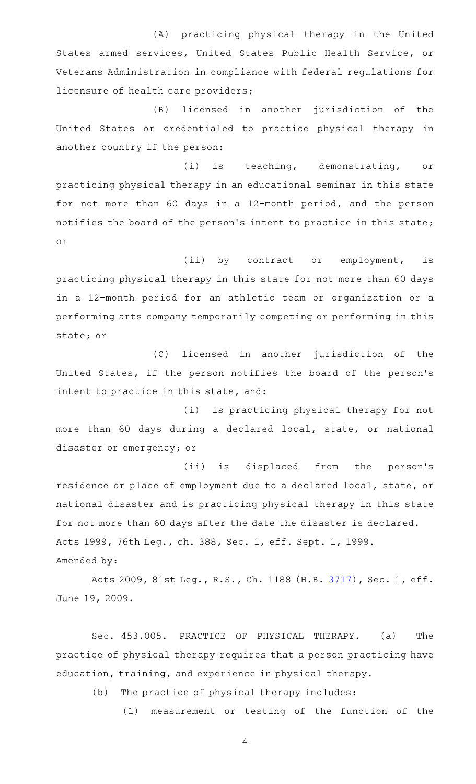(A) practicing physical therapy in the United States armed services, United States Public Health Service, or Veterans Administration in compliance with federal regulations for licensure of health care providers;

(B) licensed in another jurisdiction of the United States or credentialed to practice physical therapy in another country if the person:

(i) is teaching, demonstrating, or practicing physical therapy in an educational seminar in this state for not more than 60 days in a 12-month period, and the person notifies the board of the person 's intent to practice in this state; or

(ii) by contract or employment, is practicing physical therapy in this state for not more than 60 days in a 12-month period for an athletic team or organization or a performing arts company temporarily competing or performing in this state; or

(C) licensed in another jurisdiction of the United States, if the person notifies the board of the person's intent to practice in this state, and:

(i) is practicing physical therapy for not more than 60 days during a declared local, state, or national disaster or emergency; or

(ii) is displaced from the person's residence or place of employment due to a declared local, state, or national disaster and is practicing physical therapy in this state for not more than 60 days after the date the disaster is declared. Acts 1999, 76th Leg., ch. 388, Sec. 1, eff. Sept. 1, 1999. Amended by:

Acts 2009, 81st Leg., R.S., Ch. 1188 (H.B. [3717](http://www.legis.state.tx.us/tlodocs/81R/billtext/html/HB03717F.HTM)), Sec. 1, eff. June 19, 2009.

Sec. 453.005. PRACTICE OF PHYSICAL THERAPY. (a) The practice of physical therapy requires that a person practicing have education, training, and experience in physical therapy.

(b) The practice of physical therapy includes:

(1) measurement or testing of the function of the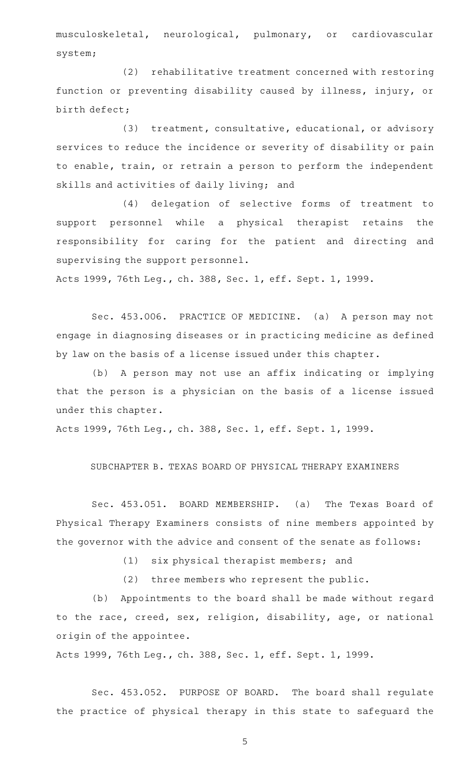musculoskeletal, neurological, pulmonary, or cardiovascular system;

(2) rehabilitative treatment concerned with restoring function or preventing disability caused by illness, injury, or birth defect;

(3) treatment, consultative, educational, or advisory services to reduce the incidence or severity of disability or pain to enable, train, or retrain a person to perform the independent skills and activities of daily living; and

(4) delegation of selective forms of treatment to support personnel while a physical therapist retains the responsibility for caring for the patient and directing and supervising the support personnel.

Acts 1999, 76th Leg., ch. 388, Sec. 1, eff. Sept. 1, 1999.

Sec. 453.006. PRACTICE OF MEDICINE. (a) A person may not engage in diagnosing diseases or in practicing medicine as defined by law on the basis of a license issued under this chapter.

(b) A person may not use an affix indicating or implying that the person is a physician on the basis of a license issued under this chapter.

Acts 1999, 76th Leg., ch. 388, Sec. 1, eff. Sept. 1, 1999.

# SUBCHAPTER B. TEXAS BOARD OF PHYSICAL THERAPY EXAMINERS

Sec. 453.051. BOARD MEMBERSHIP. (a) The Texas Board of Physical Therapy Examiners consists of nine members appointed by the governor with the advice and consent of the senate as follows:

(1) six physical therapist members; and

 $(2)$  three members who represent the public.

(b) Appointments to the board shall be made without regard to the race, creed, sex, religion, disability, age, or national origin of the appointee.

Acts 1999, 76th Leg., ch. 388, Sec. 1, eff. Sept. 1, 1999.

Sec. 453.052. PURPOSE OF BOARD. The board shall regulate the practice of physical therapy in this state to safeguard the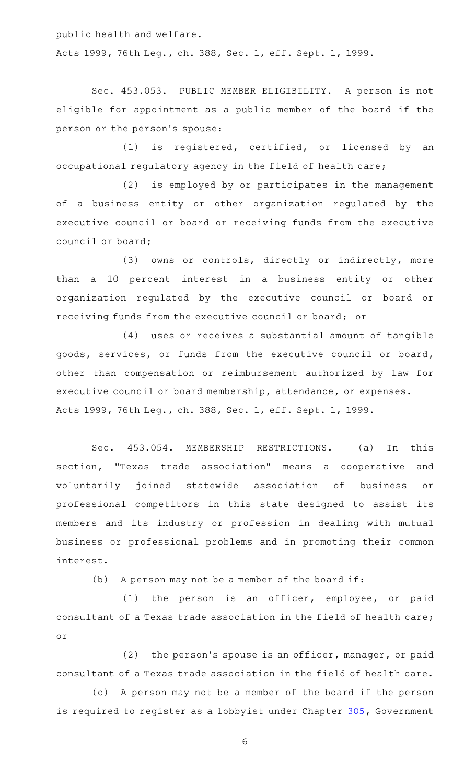public health and welfare. Acts 1999, 76th Leg., ch. 388, Sec. 1, eff. Sept. 1, 1999.

Sec. 453.053. PUBLIC MEMBER ELIGIBILITY. A person is not eligible for appointment as a public member of the board if the person or the person 's spouse:

(1) is registered, certified, or licensed by an occupational regulatory agency in the field of health care;

(2) is employed by or participates in the management of a business entity or other organization regulated by the executive council or board or receiving funds from the executive council or board;

(3) owns or controls, directly or indirectly, more than a 10 percent interest in a business entity or other organization regulated by the executive council or board or receiving funds from the executive council or board; or

(4) uses or receives a substantial amount of tangible goods, services, or funds from the executive council or board, other than compensation or reimbursement authorized by law for executive council or board membership, attendance, or expenses. Acts 1999, 76th Leg., ch. 388, Sec. 1, eff. Sept. 1, 1999.

Sec. 453.054. MEMBERSHIP RESTRICTIONS. (a) In this section, "Texas trade association" means a cooperative and voluntarily joined statewide association of business or professional competitors in this state designed to assist its members and its industry or profession in dealing with mutual business or professional problems and in promoting their common interest.

(b) A person may not be a member of the board if:

(1) the person is an officer, employee, or paid consultant of a Texas trade association in the field of health care; or

 $(2)$  the person's spouse is an officer, manager, or paid consultant of a Texas trade association in the field of health care.

(c) A person may not be a member of the board if the person is required to register as a lobbyist under Chapter [305](https://statutes.capitol.texas.gov/GetStatute.aspx?Code=GV&Value=305), Government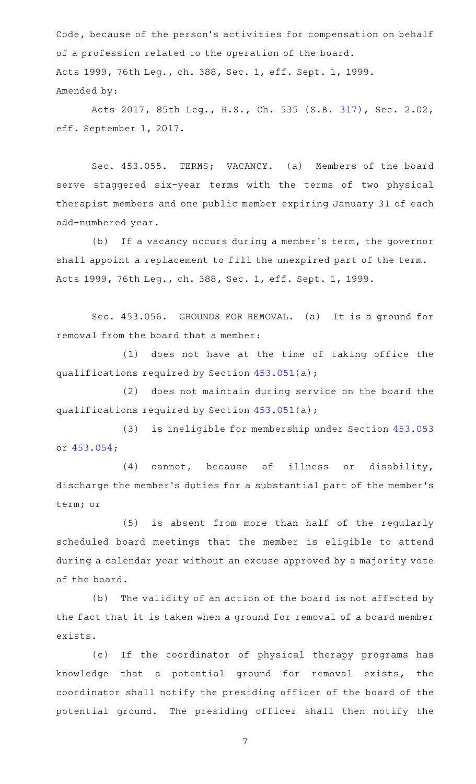Code, because of the person 's activities for compensation on behalf of a profession related to the operation of the board. Acts 1999, 76th Leg., ch. 388, Sec. 1, eff. Sept. 1, 1999. Amended by:

Acts 2017, 85th Leg., R.S., Ch. 535 (S.B. [317](http://www.legis.state.tx.us/tlodocs/85R/billtext/html/SB00317F.HTM)), Sec. 2.02, eff. September 1, 2017.

Sec. 453.055. TERMS; VACANCY. (a) Members of the board serve staggered six-year terms with the terms of two physical therapist members and one public member expiring January 31 of each odd-numbered year.

(b) If a vacancy occurs during a member's term, the governor shall appoint a replacement to fill the unexpired part of the term. Acts 1999, 76th Leg., ch. 388, Sec. 1, eff. Sept. 1, 1999.

Sec. 453.056. GROUNDS FOR REMOVAL. (a) It is a ground for removal from the board that a member:

 $(1)$  does not have at the time of taking office the qualifications required by Section [453.051\(](https://statutes.capitol.texas.gov/GetStatute.aspx?Code=OC&Value=453.051)a);

(2) does not maintain during service on the board the qualifications required by Section [453.051\(](https://statutes.capitol.texas.gov/GetStatute.aspx?Code=OC&Value=453.051)a);

(3) is ineligible for membership under Section [453.053](https://statutes.capitol.texas.gov/GetStatute.aspx?Code=OC&Value=453.053) or [453.054;](https://statutes.capitol.texas.gov/GetStatute.aspx?Code=OC&Value=453.054)

 $(4)$  cannot, because of illness or disability, discharge the member 's duties for a substantial part of the member 's term; or

(5) is absent from more than half of the regularly scheduled board meetings that the member is eligible to attend during a calendar year without an excuse approved by a majority vote of the board.

(b) The validity of an action of the board is not affected by the fact that it is taken when a ground for removal of a board member exists.

(c) If the coordinator of physical therapy programs has knowledge that a potential ground for removal exists, the coordinator shall notify the presiding officer of the board of the potential ground. The presiding officer shall then notify the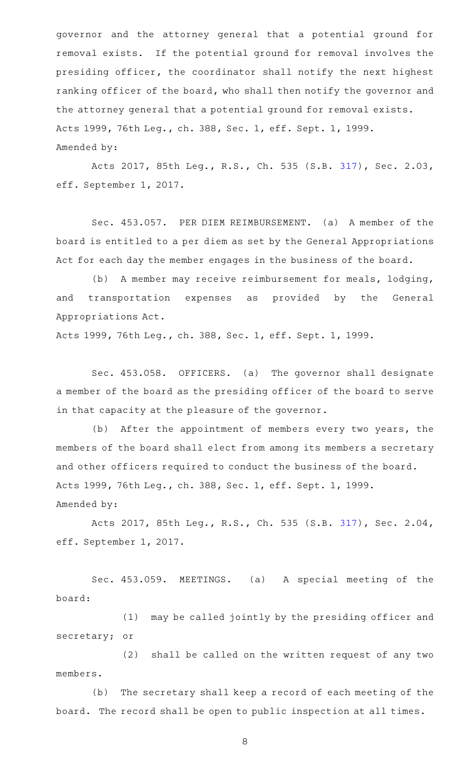governor and the attorney general that a potential ground for removal exists. If the potential ground for removal involves the presiding officer, the coordinator shall notify the next highest ranking officer of the board, who shall then notify the governor and the attorney general that a potential ground for removal exists. Acts 1999, 76th Leg., ch. 388, Sec. 1, eff. Sept. 1, 1999. Amended by:

Acts 2017, 85th Leg., R.S., Ch. 535 (S.B. [317](http://www.legis.state.tx.us/tlodocs/85R/billtext/html/SB00317F.HTM)), Sec. 2.03, eff. September 1, 2017.

Sec. 453.057. PER DIEM REIMBURSEMENT. (a) A member of the board is entitled to a per diem as set by the General Appropriations Act for each day the member engages in the business of the board.

(b) A member may receive reimbursement for meals, lodging, and transportation expenses as provided by the General Appropriations Act.

Acts 1999, 76th Leg., ch. 388, Sec. 1, eff. Sept. 1, 1999.

Sec. 453.058. OFFICERS. (a) The governor shall designate a member of the board as the presiding officer of the board to serve in that capacity at the pleasure of the governor.

(b) After the appointment of members every two years, the members of the board shall elect from among its members a secretary and other officers required to conduct the business of the board. Acts 1999, 76th Leg., ch. 388, Sec. 1, eff. Sept. 1, 1999. Amended by:

Acts 2017, 85th Leg., R.S., Ch. 535 (S.B. [317](http://www.legis.state.tx.us/tlodocs/85R/billtext/html/SB00317F.HTM)), Sec. 2.04, eff. September 1, 2017.

Sec. 453.059. MEETINGS. (a) A special meeting of the board:

(1) may be called jointly by the presiding officer and secretary; or

(2) shall be called on the written request of any two members.

(b) The secretary shall keep a record of each meeting of the board. The record shall be open to public inspection at all times.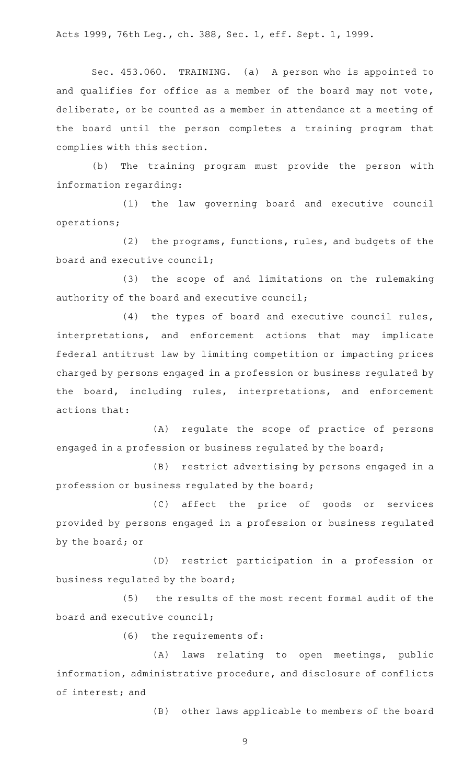Acts 1999, 76th Leg., ch. 388, Sec. 1, eff. Sept. 1, 1999.

Sec. 453.060. TRAINING. (a) A person who is appointed to and qualifies for office as a member of the board may not vote, deliberate, or be counted as a member in attendance at a meeting of the board until the person completes a training program that complies with this section.

(b) The training program must provide the person with information regarding:

(1) the law governing board and executive council operations;

(2) the programs, functions, rules, and budgets of the board and executive council;

(3) the scope of and limitations on the rulemaking authority of the board and executive council;

 $(4)$  the types of board and executive council rules, interpretations, and enforcement actions that may implicate federal antitrust law by limiting competition or impacting prices charged by persons engaged in a profession or business regulated by the board, including rules, interpretations, and enforcement actions that:

(A) regulate the scope of practice of persons engaged in a profession or business regulated by the board;

(B) restrict advertising by persons engaged in a profession or business regulated by the board;

(C) affect the price of goods or services provided by persons engaged in a profession or business regulated by the board; or

(D) restrict participation in a profession or business regulated by the board;

(5) the results of the most recent formal audit of the board and executive council;

 $(6)$  the requirements of:

(A) laws relating to open meetings, public information, administrative procedure, and disclosure of conflicts of interest; and

(B) other laws applicable to members of the board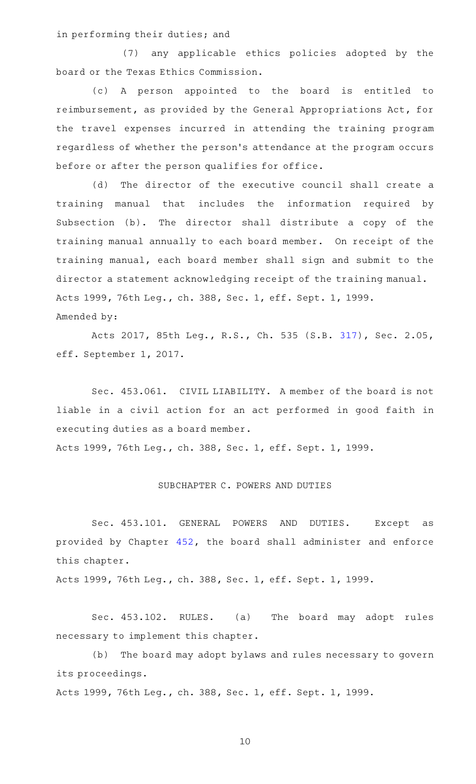in performing their duties; and

(7) any applicable ethics policies adopted by the board or the Texas Ethics Commission.

(c)AAA person appointed to the board is entitled to reimbursement, as provided by the General Appropriations Act, for the travel expenses incurred in attending the training program regardless of whether the person 's attendance at the program occurs before or after the person qualifies for office.

(d) The director of the executive council shall create a training manual that includes the information required by Subsection (b). The director shall distribute a copy of the training manual annually to each board member. On receipt of the training manual, each board member shall sign and submit to the director a statement acknowledging receipt of the training manual. Acts 1999, 76th Leg., ch. 388, Sec. 1, eff. Sept. 1, 1999. Amended by:

Acts 2017, 85th Leg., R.S., Ch. 535 (S.B. [317](http://www.legis.state.tx.us/tlodocs/85R/billtext/html/SB00317F.HTM)), Sec. 2.05, eff. September 1, 2017.

Sec. 453.061. CIVIL LIABILITY. A member of the board is not liable in a civil action for an act performed in good faith in executing duties as a board member. Acts 1999, 76th Leg., ch. 388, Sec. 1, eff. Sept. 1, 1999.

## SUBCHAPTER C. POWERS AND DUTIES

Sec. 453.101. GENERAL POWERS AND DUTIES. Except as provided by Chapter [452](https://statutes.capitol.texas.gov/GetStatute.aspx?Code=OC&Value=452), the board shall administer and enforce this chapter.

Acts 1999, 76th Leg., ch. 388, Sec. 1, eff. Sept. 1, 1999.

Sec. 453.102. RULES. (a) The board may adopt rules necessary to implement this chapter.

(b) The board may adopt bylaws and rules necessary to govern its proceedings.

Acts 1999, 76th Leg., ch. 388, Sec. 1, eff. Sept. 1, 1999.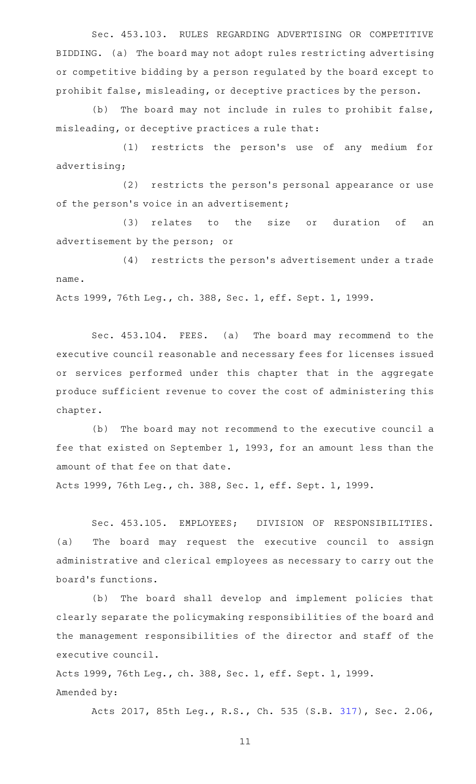Sec. 453.103. RULES REGARDING ADVERTISING OR COMPETITIVE BIDDING. (a) The board may not adopt rules restricting advertising or competitive bidding by a person regulated by the board except to prohibit false, misleading, or deceptive practices by the person.

(b) The board may not include in rules to prohibit false, misleading, or deceptive practices a rule that:

(1) restricts the person's use of any medium for advertising;

 $(2)$  restricts the person's personal appearance or use of the person's voice in an advertisement;

(3) relates to the size or duration of an advertisement by the person; or

(4) restricts the person's advertisement under a trade name.

Acts 1999, 76th Leg., ch. 388, Sec. 1, eff. Sept. 1, 1999.

Sec. 453.104. FEES. (a) The board may recommend to the executive council reasonable and necessary fees for licenses issued or services performed under this chapter that in the aggregate produce sufficient revenue to cover the cost of administering this chapter.

(b) The board may not recommend to the executive council a fee that existed on September 1, 1993, for an amount less than the amount of that fee on that date.

Acts 1999, 76th Leg., ch. 388, Sec. 1, eff. Sept. 1, 1999.

Sec. 453.105. EMPLOYEES; DIVISION OF RESPONSIBILITIES. (a) The board may request the executive council to assign administrative and clerical employees as necessary to carry out the board 's functions.

(b) The board shall develop and implement policies that clearly separate the policymaking responsibilities of the board and the management responsibilities of the director and staff of the executive council.

Acts 1999, 76th Leg., ch. 388, Sec. 1, eff. Sept. 1, 1999. Amended by:

Acts 2017, 85th Leg., R.S., Ch. 535 (S.B. [317](http://www.legis.state.tx.us/tlodocs/85R/billtext/html/SB00317F.HTM)), Sec. 2.06,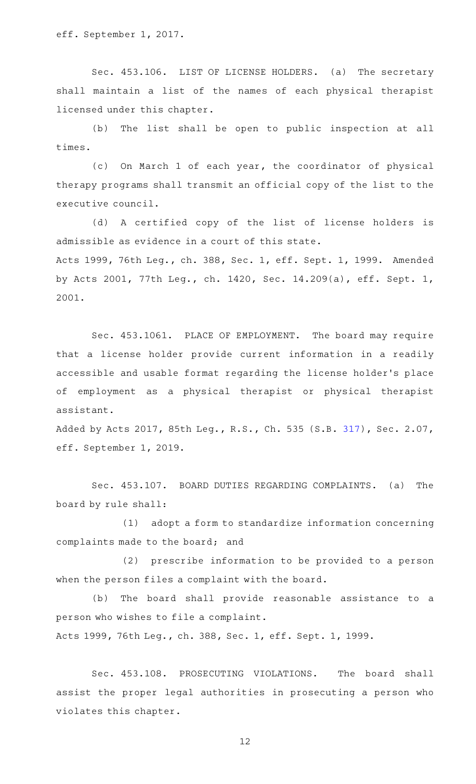eff. September 1, 2017.

Sec. 453.106. LIST OF LICENSE HOLDERS. (a) The secretary shall maintain a list of the names of each physical therapist licensed under this chapter.

(b) The list shall be open to public inspection at all times.

(c) On March 1 of each year, the coordinator of physical therapy programs shall transmit an official copy of the list to the executive council.

(d) A certified copy of the list of license holders is admissible as evidence in a court of this state. Acts 1999, 76th Leg., ch. 388, Sec. 1, eff. Sept. 1, 1999. Amended by Acts 2001, 77th Leg., ch. 1420, Sec. 14.209(a), eff. Sept. 1, 2001.

Sec. 453.1061. PLACE OF EMPLOYMENT. The board may require that a license holder provide current information in a readily accessible and usable format regarding the license holder 's place of employment as a physical therapist or physical therapist assistant.

Added by Acts 2017, 85th Leg., R.S., Ch. 535 (S.B. [317](http://www.legis.state.tx.us/tlodocs/85R/billtext/html/SB00317F.HTM)), Sec. 2.07, eff. September 1, 2019.

Sec. 453.107. BOARD DUTIES REGARDING COMPLAINTS. (a) The board by rule shall:

 $(1)$  adopt a form to standardize information concerning complaints made to the board; and

(2) prescribe information to be provided to a person when the person files a complaint with the board.

(b) The board shall provide reasonable assistance to a person who wishes to file a complaint.

Acts 1999, 76th Leg., ch. 388, Sec. 1, eff. Sept. 1, 1999.

Sec. 453.108. PROSECUTING VIOLATIONS. The board shall assist the proper legal authorities in prosecuting a person who violates this chapter.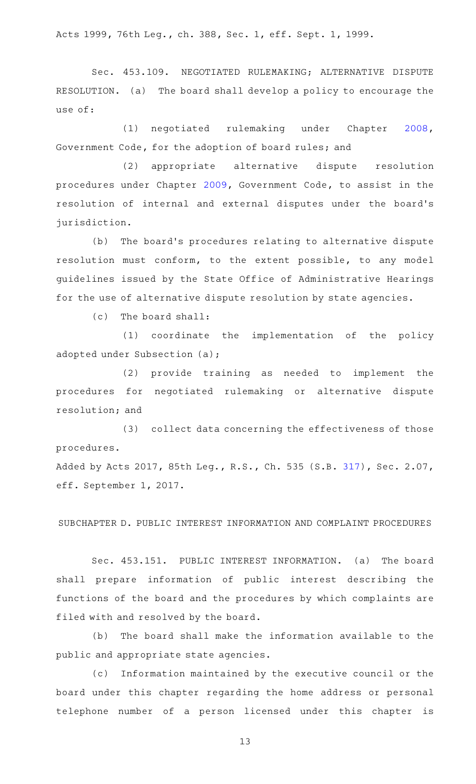Acts 1999, 76th Leg., ch. 388, Sec. 1, eff. Sept. 1, 1999.

Sec. 453.109. NEGOTIATED RULEMAKING; ALTERNATIVE DISPUTE RESOLUTION. (a) The board shall develop a policy to encourage the use of:

(1) negotiated rulemaking under Chapter [2008](https://statutes.capitol.texas.gov/GetStatute.aspx?Code=GV&Value=2008), Government Code, for the adoption of board rules; and

(2) appropriate alternative dispute resolution procedures under Chapter [2009,](https://statutes.capitol.texas.gov/GetStatute.aspx?Code=GV&Value=2009) Government Code, to assist in the resolution of internal and external disputes under the board's jurisdiction.

(b) The board's procedures relating to alternative dispute resolution must conform, to the extent possible, to any model guidelines issued by the State Office of Administrative Hearings for the use of alternative dispute resolution by state agencies.

 $(c)$  The board shall:

(1) coordinate the implementation of the policy adopted under Subsection (a);

(2) provide training as needed to implement the procedures for negotiated rulemaking or alternative dispute resolution; and

(3) collect data concerning the effectiveness of those procedures. Added by Acts 2017, 85th Leg., R.S., Ch. 535 (S.B. [317](http://www.legis.state.tx.us/tlodocs/85R/billtext/html/SB00317F.HTM)), Sec. 2.07,

eff. September 1, 2017.

SUBCHAPTER D. PUBLIC INTEREST INFORMATION AND COMPLAINT PROCEDURES

Sec. 453.151. PUBLIC INTEREST INFORMATION. (a) The board shall prepare information of public interest describing the functions of the board and the procedures by which complaints are filed with and resolved by the board.

(b) The board shall make the information available to the public and appropriate state agencies.

(c) Information maintained by the executive council or the board under this chapter regarding the home address or personal telephone number of a person licensed under this chapter is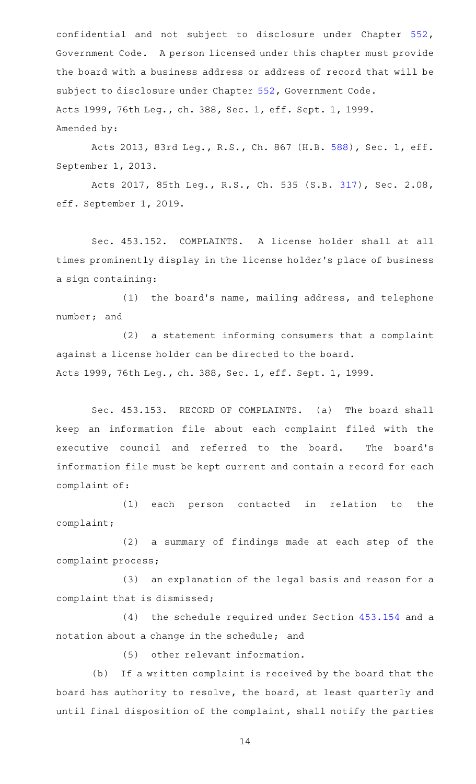confidential and not subject to disclosure under Chapter [552](https://statutes.capitol.texas.gov/GetStatute.aspx?Code=GV&Value=552), Government Code. A person licensed under this chapter must provide the board with a business address or address of record that will be subject to disclosure under Chapter [552,](https://statutes.capitol.texas.gov/GetStatute.aspx?Code=GV&Value=552) Government Code. Acts 1999, 76th Leg., ch. 388, Sec. 1, eff. Sept. 1, 1999. Amended by:

Acts 2013, 83rd Leg., R.S., Ch. 867 (H.B. [588](http://www.legis.state.tx.us/tlodocs/83R/billtext/html/HB00588F.HTM)), Sec. 1, eff. September 1, 2013.

Acts 2017, 85th Leg., R.S., Ch. 535 (S.B. [317](http://www.legis.state.tx.us/tlodocs/85R/billtext/html/SB00317F.HTM)), Sec. 2.08, eff. September 1, 2019.

Sec. 453.152. COMPLAINTS. A license holder shall at all times prominently display in the license holder 's place of business a sign containing:

 $(1)$  the board's name, mailing address, and telephone number; and

(2) a statement informing consumers that a complaint against a license holder can be directed to the board. Acts 1999, 76th Leg., ch. 388, Sec. 1, eff. Sept. 1, 1999.

Sec. 453.153. RECORD OF COMPLAINTS. (a) The board shall keep an information file about each complaint filed with the executive council and referred to the board. The board's information file must be kept current and contain a record for each complaint of:

(1) each person contacted in relation to the complaint;

(2) a summary of findings made at each step of the complaint process;

(3) an explanation of the legal basis and reason for a complaint that is dismissed;

(4) the schedule required under Section [453.154](https://statutes.capitol.texas.gov/GetStatute.aspx?Code=OC&Value=453.154) and a notation about a change in the schedule; and

(5) other relevant information.

(b) If a written complaint is received by the board that the board has authority to resolve, the board, at least quarterly and until final disposition of the complaint, shall notify the parties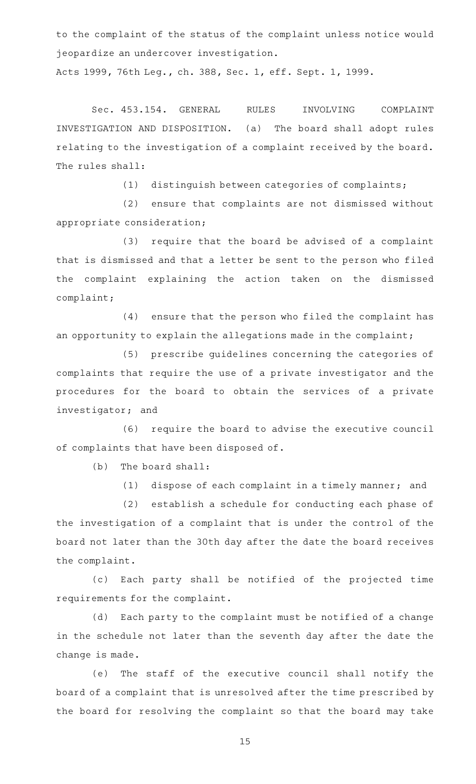to the complaint of the status of the complaint unless notice would jeopardize an undercover investigation.

Acts 1999, 76th Leg., ch. 388, Sec. 1, eff. Sept. 1, 1999.

Sec. 453.154. GENERAL RULES INVOLVING COMPLAINT INVESTIGATION AND DISPOSITION. (a) The board shall adopt rules relating to the investigation of a complaint received by the board. The rules shall:

(1) distinguish between categories of complaints;

(2) ensure that complaints are not dismissed without appropriate consideration;

(3) require that the board be advised of a complaint that is dismissed and that a letter be sent to the person who filed the complaint explaining the action taken on the dismissed complaint;

 $(4)$  ensure that the person who filed the complaint has an opportunity to explain the allegations made in the complaint;

(5) prescribe guidelines concerning the categories of complaints that require the use of a private investigator and the procedures for the board to obtain the services of a private investigator; and

(6) require the board to advise the executive council of complaints that have been disposed of.

 $(b)$  The board shall:

 $(1)$  dispose of each complaint in a timely manner; and

(2) establish a schedule for conducting each phase of the investigation of a complaint that is under the control of the board not later than the 30th day after the date the board receives the complaint.

(c) Each party shall be notified of the projected time requirements for the complaint.

(d) Each party to the complaint must be notified of a change in the schedule not later than the seventh day after the date the change is made.

(e) The staff of the executive council shall notify the board of a complaint that is unresolved after the time prescribed by the board for resolving the complaint so that the board may take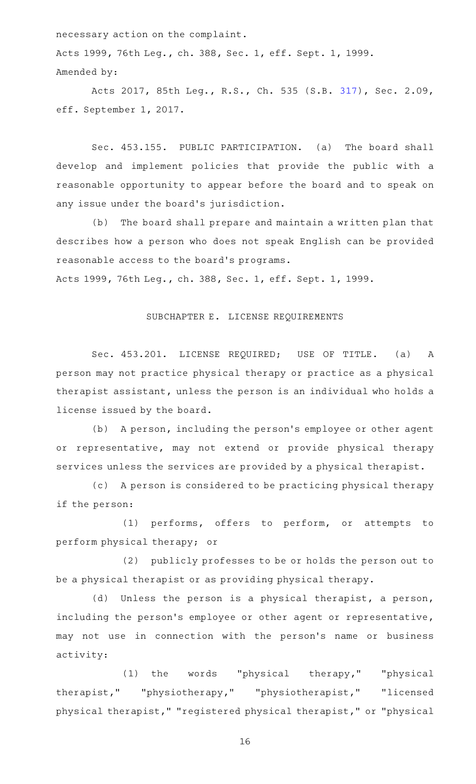necessary action on the complaint.

Acts 1999, 76th Leg., ch. 388, Sec. 1, eff. Sept. 1, 1999. Amended by:

Acts 2017, 85th Leg., R.S., Ch. 535 (S.B. [317](http://www.legis.state.tx.us/tlodocs/85R/billtext/html/SB00317F.HTM)), Sec. 2.09, eff. September 1, 2017.

Sec. 453.155. PUBLIC PARTICIPATION. (a) The board shall develop and implement policies that provide the public with a reasonable opportunity to appear before the board and to speak on any issue under the board's jurisdiction.

(b) The board shall prepare and maintain a written plan that describes how a person who does not speak English can be provided reasonable access to the board 's programs.

Acts 1999, 76th Leg., ch. 388, Sec. 1, eff. Sept. 1, 1999.

# SUBCHAPTER E. LICENSE REQUIREMENTS

Sec. 453.201. LICENSE REQUIRED; USE OF TITLE. (a) A person may not practice physical therapy or practice as a physical therapist assistant, unless the person is an individual who holds a license issued by the board.

(b) A person, including the person's employee or other agent or representative, may not extend or provide physical therapy services unless the services are provided by a physical therapist.

(c) A person is considered to be practicing physical therapy if the person:

(1) performs, offers to perform, or attempts to perform physical therapy; or

(2) publicly professes to be or holds the person out to be a physical therapist or as providing physical therapy.

(d) Unless the person is a physical therapist, a person, including the person's employee or other agent or representative, may not use in connection with the person's name or business activity:

(1) the words "physical therapy," "physical therapist," "physiotherapy," "physiotherapist," "licensed physical therapist," "registered physical therapist," or "physical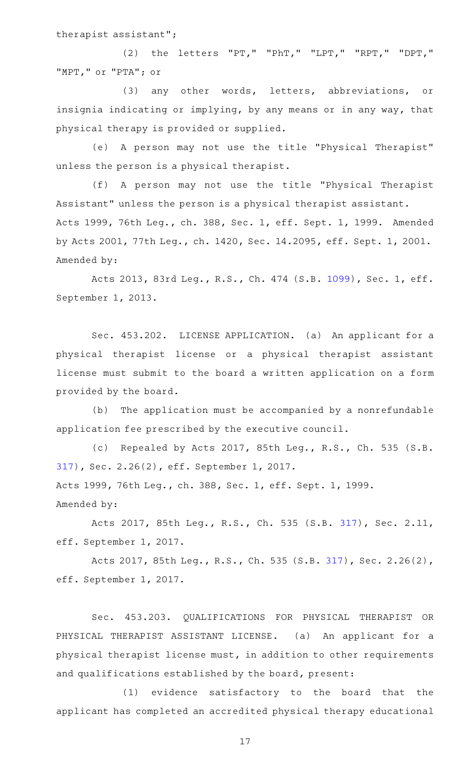therapist assistant";

(2) the letters "PT," "PhT," "LPT," "RPT," "DPT," "MPT," or "PTA"; or

(3) any other words, letters, abbreviations, or insignia indicating or implying, by any means or in any way, that physical therapy is provided or supplied.

(e)AAA person may not use the title "Physical Therapist" unless the person is a physical therapist.

(f)AAA person may not use the title "Physical Therapist Assistant" unless the person is a physical therapist assistant. Acts 1999, 76th Leg., ch. 388, Sec. 1, eff. Sept. 1, 1999. Amended by Acts 2001, 77th Leg., ch. 1420, Sec. 14.2095, eff. Sept. 1, 2001. Amended by:

Acts 2013, 83rd Leg., R.S., Ch. 474 (S.B. [1099](http://www.legis.state.tx.us/tlodocs/83R/billtext/html/SB01099F.HTM)), Sec. 1, eff. September 1, 2013.

Sec. 453.202. LICENSE APPLICATION. (a) An applicant for a physical therapist license or a physical therapist assistant license must submit to the board a written application on a form provided by the board.

(b) The application must be accompanied by a nonrefundable application fee prescribed by the executive council.

(c) Repealed by Acts 2017, 85th Leg., R.S., Ch. 535 (S.B. [317\)](http://www.legis.state.tx.us/tlodocs/85R/billtext/html/SB00317F.HTM), Sec. 2.26(2), eff. September 1, 2017. Acts 1999, 76th Leg., ch. 388, Sec. 1, eff. Sept. 1, 1999. Amended by:

Acts 2017, 85th Leg., R.S., Ch. 535 (S.B. [317](http://www.legis.state.tx.us/tlodocs/85R/billtext/html/SB00317F.HTM)), Sec. 2.11, eff. September 1, 2017.

Acts 2017, 85th Leg., R.S., Ch. 535 (S.B. [317](http://www.legis.state.tx.us/tlodocs/85R/billtext/html/SB00317F.HTM)), Sec. 2.26(2), eff. September 1, 2017.

Sec. 453.203. QUALIFICATIONS FOR PHYSICAL THERAPIST OR PHYSICAL THERAPIST ASSISTANT LICENSE. (a) An applicant for a physical therapist license must, in addition to other requirements and qualifications established by the board, present:

(1) evidence satisfactory to the board that the applicant has completed an accredited physical therapy educational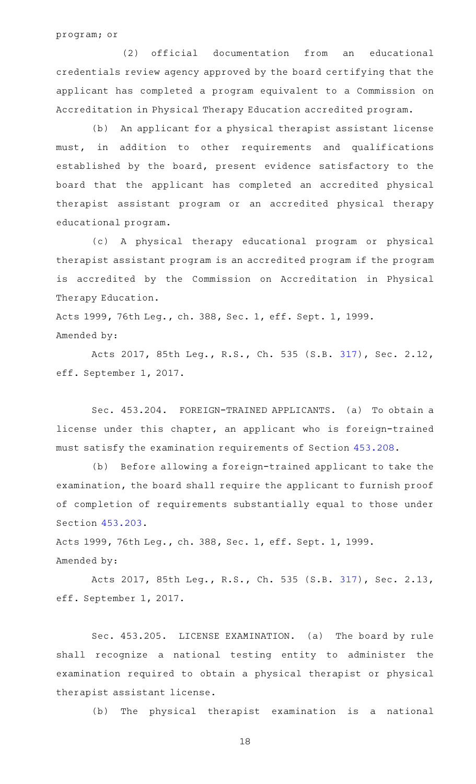program; or

(2) official documentation from an educational credentials review agency approved by the board certifying that the applicant has completed a program equivalent to a Commission on Accreditation in Physical Therapy Education accredited program.

(b) An applicant for a physical therapist assistant license must, in addition to other requirements and qualifications established by the board, present evidence satisfactory to the board that the applicant has completed an accredited physical therapist assistant program or an accredited physical therapy educational program.

(c)AAA physical therapy educational program or physical therapist assistant program is an accredited program if the program is accredited by the Commission on Accreditation in Physical Therapy Education.

Acts 1999, 76th Leg., ch. 388, Sec. 1, eff. Sept. 1, 1999. Amended by:

Acts 2017, 85th Leg., R.S., Ch. 535 (S.B. [317](http://www.legis.state.tx.us/tlodocs/85R/billtext/html/SB00317F.HTM)), Sec. 2.12, eff. September 1, 2017.

Sec. 453.204. FOREIGN-TRAINED APPLICANTS. (a) To obtain a license under this chapter, an applicant who is foreign-trained must satisfy the examination requirements of Section [453.208](https://statutes.capitol.texas.gov/GetStatute.aspx?Code=OC&Value=453.208).

(b) Before allowing a foreign-trained applicant to take the examination, the board shall require the applicant to furnish proof of completion of requirements substantially equal to those under Section [453.203.](https://statutes.capitol.texas.gov/GetStatute.aspx?Code=OC&Value=453.203)

Acts 1999, 76th Leg., ch. 388, Sec. 1, eff. Sept. 1, 1999. Amended by:

Acts 2017, 85th Leg., R.S., Ch. 535 (S.B. [317](http://www.legis.state.tx.us/tlodocs/85R/billtext/html/SB00317F.HTM)), Sec. 2.13, eff. September 1, 2017.

Sec. 453.205. LICENSE EXAMINATION. (a) The board by rule shall recognize a national testing entity to administer the examination required to obtain a physical therapist or physical therapist assistant license.

(b) The physical therapist examination is a national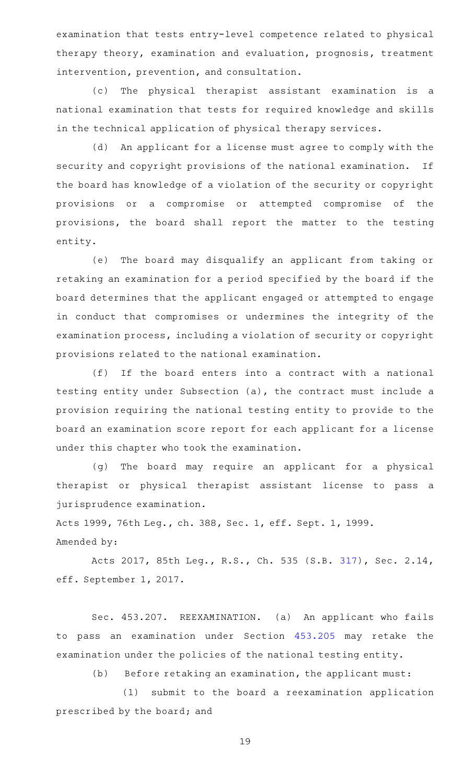examination that tests entry-level competence related to physical therapy theory, examination and evaluation, prognosis, treatment intervention, prevention, and consultation.

(c) The physical therapist assistant examination is a national examination that tests for required knowledge and skills in the technical application of physical therapy services.

(d) An applicant for a license must agree to comply with the security and copyright provisions of the national examination. If the board has knowledge of a violation of the security or copyright provisions or a compromise or attempted compromise of the provisions, the board shall report the matter to the testing entity.

(e) The board may disqualify an applicant from taking or retaking an examination for a period specified by the board if the board determines that the applicant engaged or attempted to engage in conduct that compromises or undermines the integrity of the examination process, including a violation of security or copyright provisions related to the national examination.

(f) If the board enters into a contract with a national testing entity under Subsection (a), the contract must include a provision requiring the national testing entity to provide to the board an examination score report for each applicant for a license under this chapter who took the examination.

(g) The board may require an applicant for a physical therapist or physical therapist assistant license to pass a jurisprudence examination.

Acts 1999, 76th Leg., ch. 388, Sec. 1, eff. Sept. 1, 1999.

Amended by:

Acts 2017, 85th Leg., R.S., Ch. 535 (S.B. [317](http://www.legis.state.tx.us/tlodocs/85R/billtext/html/SB00317F.HTM)), Sec. 2.14, eff. September 1, 2017.

Sec. 453.207. REEXAMINATION. (a) An applicant who fails to pass an examination under Section [453.205](https://statutes.capitol.texas.gov/GetStatute.aspx?Code=OC&Value=453.205) may retake the examination under the policies of the national testing entity.

(b) Before retaking an examination, the applicant must:

(1) submit to the board a reexamination application prescribed by the board; and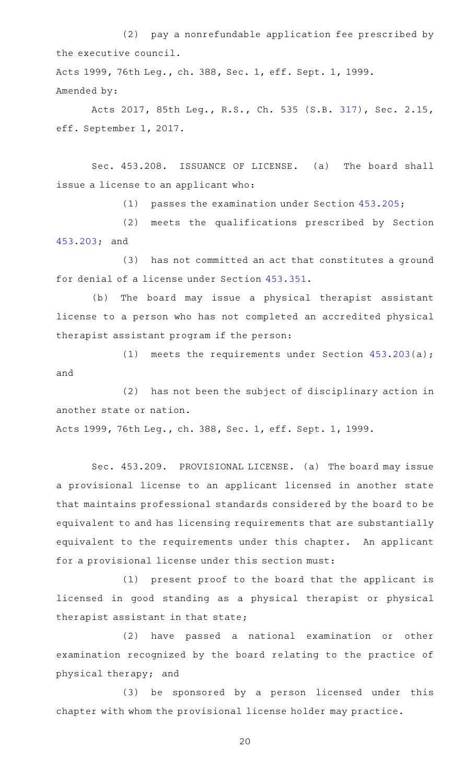(2) pay a nonrefundable application fee prescribed by the executive council.

Acts 1999, 76th Leg., ch. 388, Sec. 1, eff. Sept. 1, 1999. Amended by:

Acts 2017, 85th Leg., R.S., Ch. 535 (S.B. [317](http://www.legis.state.tx.us/tlodocs/85R/billtext/html/SB00317F.HTM)), Sec. 2.15, eff. September 1, 2017.

Sec. 453.208. ISSUANCE OF LICENSE. (a) The board shall issue a license to an applicant who:

(1) passes the examination under Section  $453.205$ ;

(2) meets the qualifications prescribed by Section [453.203;](https://statutes.capitol.texas.gov/GetStatute.aspx?Code=OC&Value=453.203) and

(3) has not committed an act that constitutes a ground for denial of a license under Section [453.351](https://statutes.capitol.texas.gov/GetStatute.aspx?Code=OC&Value=453.351).

(b) The board may issue a physical therapist assistant license to a person who has not completed an accredited physical therapist assistant program if the person:

(1) meets the requirements under Section  $453.203(a)$  $453.203(a)$ ; and

(2) has not been the subject of disciplinary action in another state or nation.

Acts 1999, 76th Leg., ch. 388, Sec. 1, eff. Sept. 1, 1999.

Sec. 453.209. PROVISIONAL LICENSE. (a) The board may issue a provisional license to an applicant licensed in another state that maintains professional standards considered by the board to be equivalent to and has licensing requirements that are substantially equivalent to the requirements under this chapter. An applicant for a provisional license under this section must:

(1) present proof to the board that the applicant is licensed in good standing as a physical therapist or physical therapist assistant in that state;

(2) have passed a national examination or other examination recognized by the board relating to the practice of physical therapy; and

(3) be sponsored by a person licensed under this chapter with whom the provisional license holder may practice.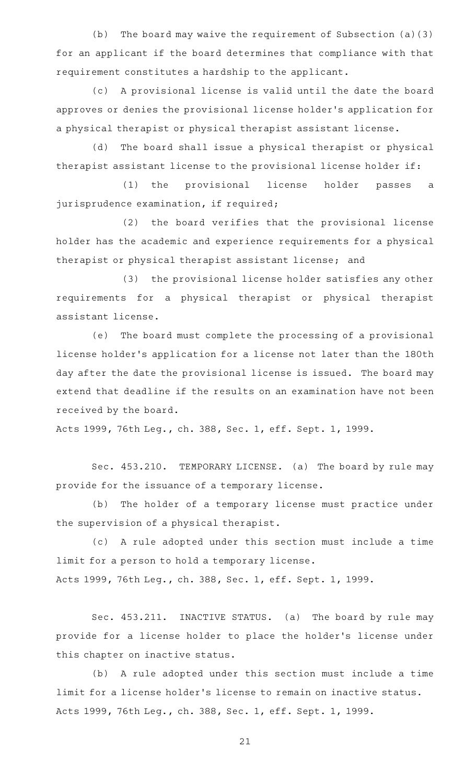(b) The board may waive the requirement of Subsection  $(a)(3)$ for an applicant if the board determines that compliance with that requirement constitutes a hardship to the applicant.

(c) A provisional license is valid until the date the board approves or denies the provisional license holder 's application for a physical therapist or physical therapist assistant license.

(d) The board shall issue a physical therapist or physical therapist assistant license to the provisional license holder if:

(1) the provisional license holder passes a jurisprudence examination, if required;

(2) the board verifies that the provisional license holder has the academic and experience requirements for a physical therapist or physical therapist assistant license; and

(3) the provisional license holder satisfies any other requirements for a physical therapist or physical therapist assistant license.

(e) The board must complete the processing of a provisional license holder 's application for a license not later than the 180th day after the date the provisional license is issued. The board may extend that deadline if the results on an examination have not been received by the board.

Acts 1999, 76th Leg., ch. 388, Sec. 1, eff. Sept. 1, 1999.

Sec. 453.210. TEMPORARY LICENSE. (a) The board by rule may provide for the issuance of a temporary license.

(b) The holder of a temporary license must practice under the supervision of a physical therapist.

(c)AAA rule adopted under this section must include a time limit for a person to hold a temporary license. Acts 1999, 76th Leg., ch. 388, Sec. 1, eff. Sept. 1, 1999.

Sec. 453.211. INACTIVE STATUS. (a) The board by rule may provide for a license holder to place the holder 's license under this chapter on inactive status.

(b) A rule adopted under this section must include a time limit for a license holder 's license to remain on inactive status. Acts 1999, 76th Leg., ch. 388, Sec. 1, eff. Sept. 1, 1999.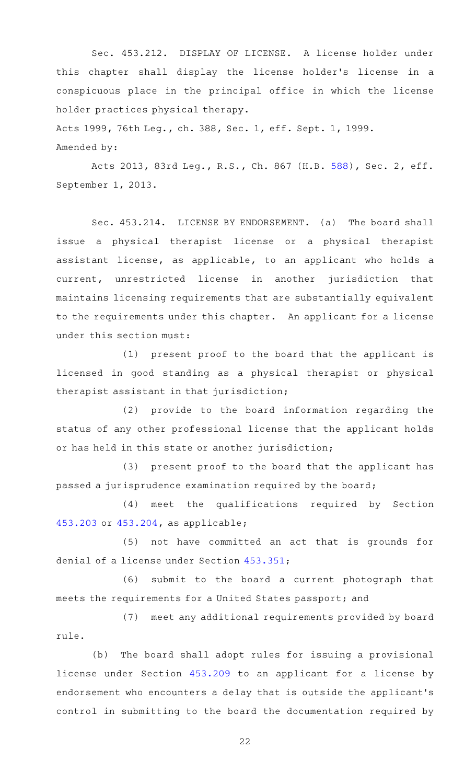Sec. 453.212. DISPLAY OF LICENSE. A license holder under this chapter shall display the license holder 's license in a conspicuous place in the principal office in which the license holder practices physical therapy.

Acts 1999, 76th Leg., ch. 388, Sec. 1, eff. Sept. 1, 1999. Amended by:

Acts 2013, 83rd Leg., R.S., Ch. 867 (H.B. [588](http://www.legis.state.tx.us/tlodocs/83R/billtext/html/HB00588F.HTM)), Sec. 2, eff. September 1, 2013.

Sec. 453.214. LICENSE BY ENDORSEMENT. (a) The board shall issue a physical therapist license or a physical therapist assistant license, as applicable, to an applicant who holds a current, unrestricted license in another jurisdiction that maintains licensing requirements that are substantially equivalent to the requirements under this chapter. An applicant for a license under this section must:

 $(1)$  present proof to the board that the applicant is licensed in good standing as a physical therapist or physical therapist assistant in that jurisdiction;

(2) provide to the board information regarding the status of any other professional license that the applicant holds or has held in this state or another jurisdiction;

(3) present proof to the board that the applicant has passed a jurisprudence examination required by the board;

(4) meet the qualifications required by Section [453.203](https://statutes.capitol.texas.gov/GetStatute.aspx?Code=OC&Value=453.203) or [453.204,](https://statutes.capitol.texas.gov/GetStatute.aspx?Code=OC&Value=453.204) as applicable;

(5) not have committed an act that is grounds for denial of a license under Section [453.351](https://statutes.capitol.texas.gov/GetStatute.aspx?Code=OC&Value=453.351);

(6) submit to the board a current photograph that meets the requirements for a United States passport; and

(7) meet any additional requirements provided by board rule.

(b) The board shall adopt rules for issuing a provisional license under Section [453.209](https://statutes.capitol.texas.gov/GetStatute.aspx?Code=OC&Value=453.209) to an applicant for a license by endorsement who encounters a delay that is outside the applicant 's control in submitting to the board the documentation required by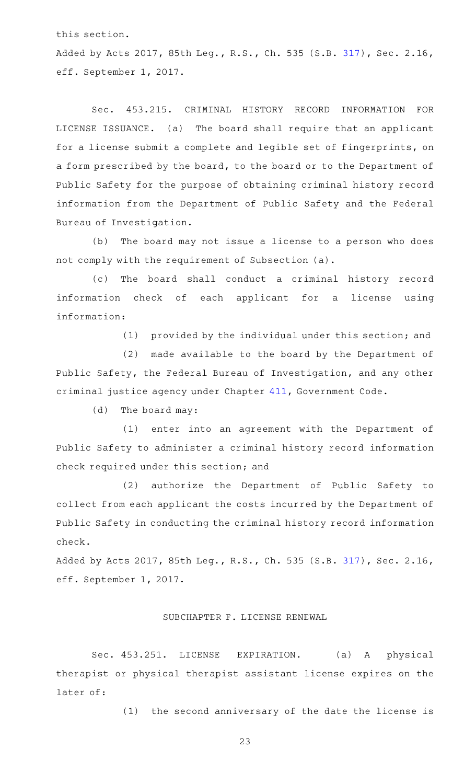this section.

Added by Acts 2017, 85th Leg., R.S., Ch. 535 (S.B. [317](http://www.legis.state.tx.us/tlodocs/85R/billtext/html/SB00317F.HTM)), Sec. 2.16, eff. September 1, 2017.

Sec. 453.215. CRIMINAL HISTORY RECORD INFORMATION FOR LICENSE ISSUANCE. (a) The board shall require that an applicant for a license submit a complete and legible set of fingerprints, on a form prescribed by the board, to the board or to the Department of Public Safety for the purpose of obtaining criminal history record information from the Department of Public Safety and the Federal Bureau of Investigation.

(b) The board may not issue a license to a person who does not comply with the requirement of Subsection (a).

(c) The board shall conduct a criminal history record information check of each applicant for a license using information:

(1) provided by the individual under this section; and

(2) made available to the board by the Department of Public Safety, the Federal Bureau of Investigation, and any other criminal justice agency under Chapter [411,](https://statutes.capitol.texas.gov/GetStatute.aspx?Code=GV&Value=411) Government Code.

(d) The board may:

(1) enter into an agreement with the Department of Public Safety to administer a criminal history record information check required under this section; and

(2) authorize the Department of Public Safety to collect from each applicant the costs incurred by the Department of Public Safety in conducting the criminal history record information check.

Added by Acts 2017, 85th Leg., R.S., Ch. 535 (S.B. [317](http://www.legis.state.tx.us/tlodocs/85R/billtext/html/SB00317F.HTM)), Sec. 2.16, eff. September 1, 2017.

## SUBCHAPTER F. LICENSE RENEWAL

Sec. 453.251. LICENSE EXPIRATION. (a) A physical therapist or physical therapist assistant license expires on the later of:

(1) the second anniversary of the date the license is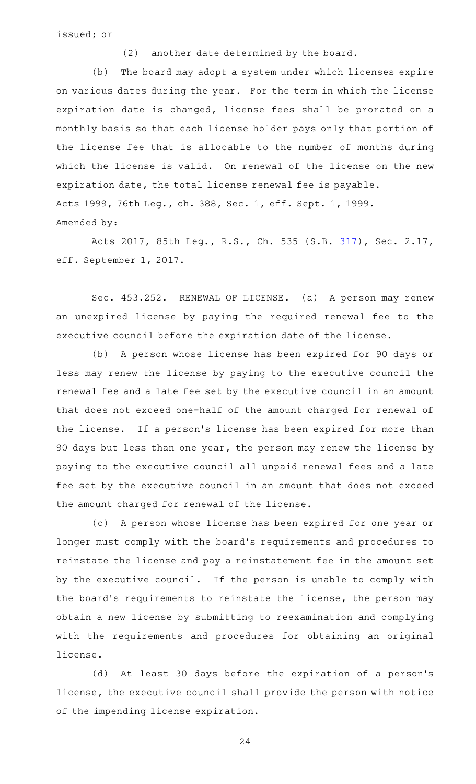issued; or

(2) another date determined by the board.

(b) The board may adopt a system under which licenses expire on various dates during the year. For the term in which the license expiration date is changed, license fees shall be prorated on a monthly basis so that each license holder pays only that portion of the license fee that is allocable to the number of months during which the license is valid. On renewal of the license on the new expiration date, the total license renewal fee is payable. Acts 1999, 76th Leg., ch. 388, Sec. 1, eff. Sept. 1, 1999. Amended by:

Acts 2017, 85th Leg., R.S., Ch. 535 (S.B. [317](http://www.legis.state.tx.us/tlodocs/85R/billtext/html/SB00317F.HTM)), Sec. 2.17, eff. September 1, 2017.

Sec. 453.252. RENEWAL OF LICENSE. (a) A person may renew an unexpired license by paying the required renewal fee to the executive council before the expiration date of the license.

(b) A person whose license has been expired for 90 days or less may renew the license by paying to the executive council the renewal fee and a late fee set by the executive council in an amount that does not exceed one-half of the amount charged for renewal of the license. If a person's license has been expired for more than 90 days but less than one year, the person may renew the license by paying to the executive council all unpaid renewal fees and a late fee set by the executive council in an amount that does not exceed the amount charged for renewal of the license.

(c) A person whose license has been expired for one year or longer must comply with the board 's requirements and procedures to reinstate the license and pay a reinstatement fee in the amount set by the executive council. If the person is unable to comply with the board's requirements to reinstate the license, the person may obtain a new license by submitting to reexamination and complying with the requirements and procedures for obtaining an original license.

(d) At least 30 days before the expiration of a person's license, the executive council shall provide the person with notice of the impending license expiration.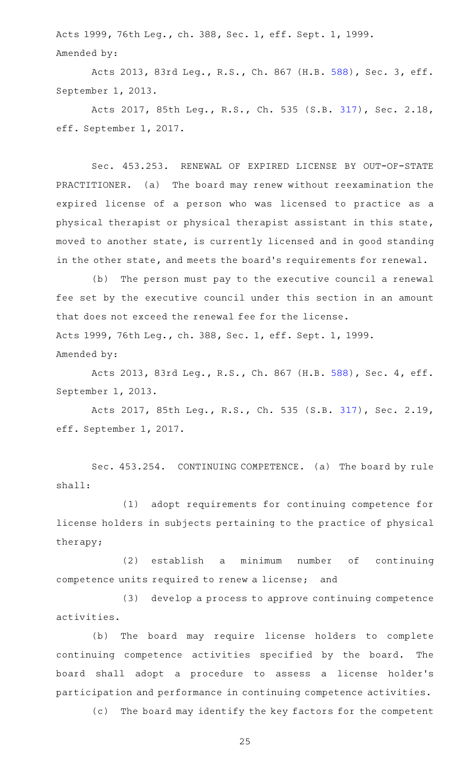Acts 1999, 76th Leg., ch. 388, Sec. 1, eff. Sept. 1, 1999. Amended by:

Acts 2013, 83rd Leg., R.S., Ch. 867 (H.B. [588](http://www.legis.state.tx.us/tlodocs/83R/billtext/html/HB00588F.HTM)), Sec. 3, eff. September 1, 2013.

Acts 2017, 85th Leg., R.S., Ch. 535 (S.B. [317](http://www.legis.state.tx.us/tlodocs/85R/billtext/html/SB00317F.HTM)), Sec. 2.18, eff. September 1, 2017.

Sec. 453.253. RENEWAL OF EXPIRED LICENSE BY OUT-OF-STATE PRACTITIONER. (a) The board may renew without reexamination the expired license of a person who was licensed to practice as a physical therapist or physical therapist assistant in this state, moved to another state, is currently licensed and in good standing in the other state, and meets the board's requirements for renewal.

(b) The person must pay to the executive council a renewal fee set by the executive council under this section in an amount that does not exceed the renewal fee for the license. Acts 1999, 76th Leg., ch. 388, Sec. 1, eff. Sept. 1, 1999.

Amended by:

Acts 2013, 83rd Leg., R.S., Ch. 867 (H.B. [588](http://www.legis.state.tx.us/tlodocs/83R/billtext/html/HB00588F.HTM)), Sec. 4, eff. September 1, 2013.

Acts 2017, 85th Leg., R.S., Ch. 535 (S.B. [317](http://www.legis.state.tx.us/tlodocs/85R/billtext/html/SB00317F.HTM)), Sec. 2.19, eff. September 1, 2017.

Sec. 453.254. CONTINUING COMPETENCE. (a) The board by rule shall:

(1) adopt requirements for continuing competence for license holders in subjects pertaining to the practice of physical therapy;

(2) establish a minimum number of continuing competence units required to renew a license; and

(3) develop a process to approve continuing competence activities.

(b) The board may require license holders to complete continuing competence activities specified by the board. The board shall adopt a procedure to assess a license holder 's participation and performance in continuing competence activities.

(c) The board may identify the key factors for the competent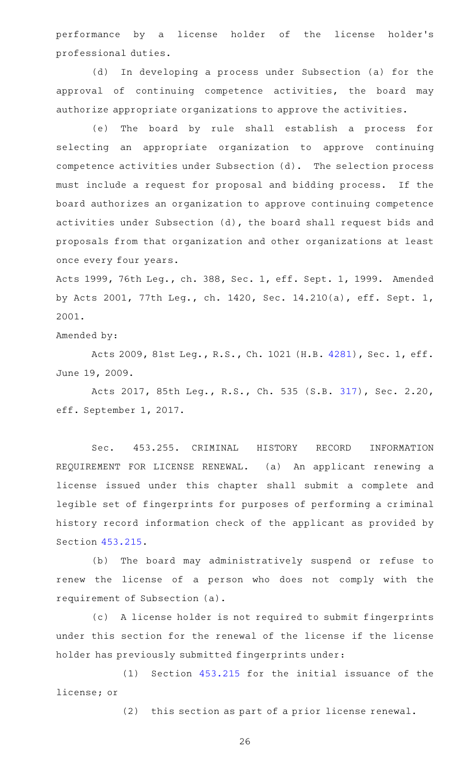performance by a license holder of the license holder 's professional duties.

In developing a process under Subsection (a) for the approval of continuing competence activities, the board may authorize appropriate organizations to approve the activities.

(e) The board by rule shall establish a process for selecting an appropriate organization to approve continuing competence activities under Subsection (d). The selection process must include a request for proposal and bidding process. If the board authorizes an organization to approve continuing competence activities under Subsection (d), the board shall request bids and proposals from that organization and other organizations at least once every four years.

Acts 1999, 76th Leg., ch. 388, Sec. 1, eff. Sept. 1, 1999. Amended by Acts 2001, 77th Leg., ch. 1420, Sec. 14.210(a), eff. Sept. 1, 2001.

Amended by:

Acts 2009, 81st Leg., R.S., Ch. 1021 (H.B. [4281](http://www.legis.state.tx.us/tlodocs/81R/billtext/html/HB04281F.HTM)), Sec. 1, eff. June 19, 2009.

Acts 2017, 85th Leg., R.S., Ch. 535 (S.B. [317](http://www.legis.state.tx.us/tlodocs/85R/billtext/html/SB00317F.HTM)), Sec. 2.20, eff. September 1, 2017.

Sec. 453.255. CRIMINAL HISTORY RECORD INFORMATION REQUIREMENT FOR LICENSE RENEWAL. (a) An applicant renewing a license issued under this chapter shall submit a complete and legible set of fingerprints for purposes of performing a criminal history record information check of the applicant as provided by Section [453.215.](https://statutes.capitol.texas.gov/GetStatute.aspx?Code=OC&Value=453.215)

(b) The board may administratively suspend or refuse to renew the license of a person who does not comply with the requirement of Subsection (a).

(c)AAA license holder is not required to submit fingerprints under this section for the renewal of the license if the license holder has previously submitted fingerprints under:

 $(1)$  Section  $453.215$  for the initial issuance of the license; or

(2) this section as part of a prior license renewal.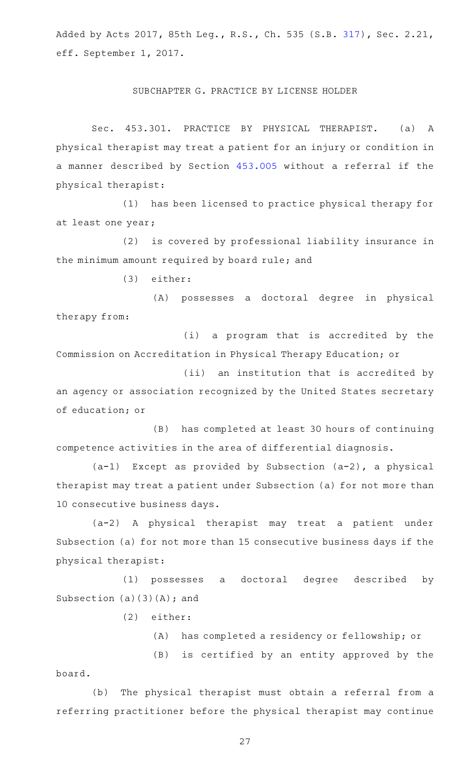Added by Acts 2017, 85th Leg., R.S., Ch. 535 (S.B. [317](http://www.legis.state.tx.us/tlodocs/85R/billtext/html/SB00317F.HTM)), Sec. 2.21, eff. September 1, 2017.

#### SUBCHAPTER G. PRACTICE BY LICENSE HOLDER

Sec. 453.301. PRACTICE BY PHYSICAL THERAPIST. (a) A physical therapist may treat a patient for an injury or condition in a manner described by Section [453.005](https://statutes.capitol.texas.gov/GetStatute.aspx?Code=OC&Value=453.005) without a referral if the physical therapist:

(1) has been licensed to practice physical therapy for at least one year;

(2) is covered by professional liability insurance in the minimum amount required by board rule; and

(3) either:

(A) possesses a doctoral degree in physical therapy from:

(i) a program that is accredited by the Commission on Accreditation in Physical Therapy Education; or

(ii) an institution that is accredited by an agency or association recognized by the United States secretary of education; or

(B) has completed at least 30 hours of continuing competence activities in the area of differential diagnosis.

 $(a-1)$  Except as provided by Subsection  $(a-2)$ , a physical therapist may treat a patient under Subsection (a) for not more than 10 consecutive business days.

(a-2) A physical therapist may treat a patient under Subsection (a) for not more than 15 consecutive business days if the physical therapist:

(1) possesses a doctoral degree described by Subsection  $(a)(3)(A)$ ; and

(2) either:

(A) has completed a residency or fellowship; or

(B) is certified by an entity approved by the board.

(b) The physical therapist must obtain a referral from a referring practitioner before the physical therapist may continue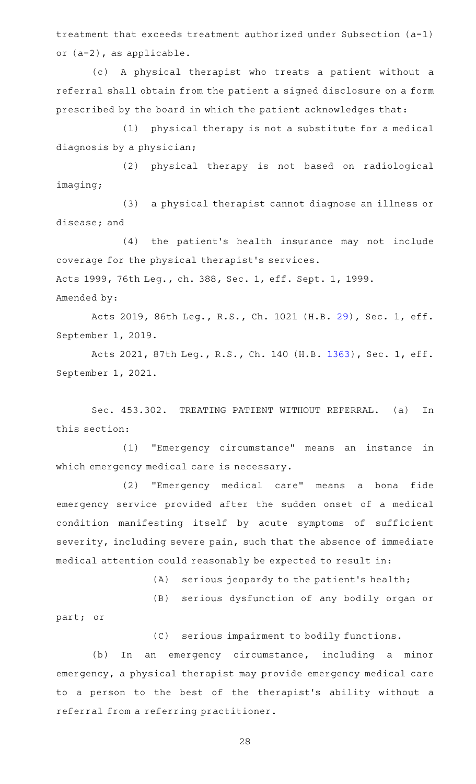treatment that exceeds treatment authorized under Subsection (a-1) or (a-2), as applicable.

(c)AAA physical therapist who treats a patient without a referral shall obtain from the patient a signed disclosure on a form prescribed by the board in which the patient acknowledges that:

(1) physical therapy is not a substitute for a medical diagnosis by a physician;

(2) physical therapy is not based on radiological imaging;

(3) a physical therapist cannot diagnose an illness or disease; and

(4) the patient's health insurance may not include coverage for the physical therapist 's services. Acts 1999, 76th Leg., ch. 388, Sec. 1, eff. Sept. 1, 1999. Amended by:

Acts 2019, 86th Leg., R.S., Ch. 1021 (H.B. [29](http://www.legis.state.tx.us/tlodocs/86R/billtext/html/HB00029F.HTM)), Sec. 1, eff. September 1, 2019.

Acts 2021, 87th Leg., R.S., Ch. 140 (H.B. [1363](http://www.legis.state.tx.us/tlodocs/87R/billtext/html/HB01363F.HTM)), Sec. 1, eff. September 1, 2021.

Sec. 453.302. TREATING PATIENT WITHOUT REFERRAL. (a) In this section:

(1) "Emergency circumstance" means an instance in which emergency medical care is necessary.

(2) "Emergency medical care" means a bona fide emergency service provided after the sudden onset of a medical condition manifesting itself by acute symptoms of sufficient severity, including severe pain, such that the absence of immediate medical attention could reasonably be expected to result in:

 $(A)$  serious jeopardy to the patient's health;

(B) serious dysfunction of any bodily organ or

part; or

(C) serious impairment to bodily functions.

(b) In an emergency circumstance, including a minor emergency, a physical therapist may provide emergency medical care to a person to the best of the therapist 's ability without a referral from a referring practitioner.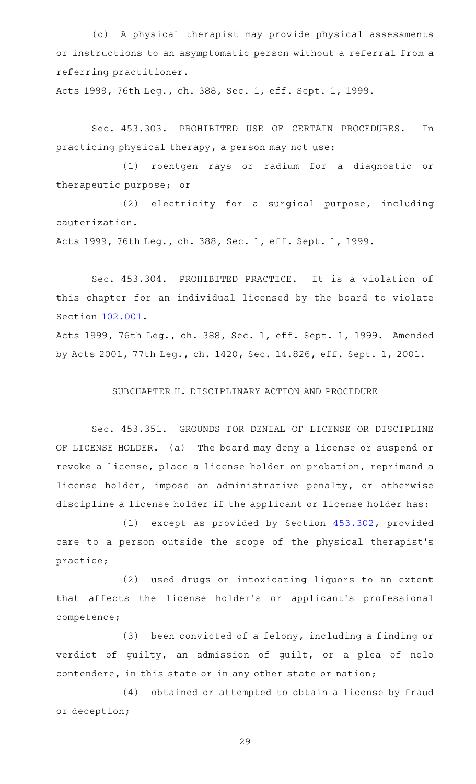(c)AAA physical therapist may provide physical assessments or instructions to an asymptomatic person without a referral from a referring practitioner.

Acts 1999, 76th Leg., ch. 388, Sec. 1, eff. Sept. 1, 1999.

Sec. 453.303. PROHIBITED USE OF CERTAIN PROCEDURES. In practicing physical therapy, a person may not use:

(1) roentgen rays or radium for a diagnostic or therapeutic purpose; or

(2) electricity for a surgical purpose, including cauterization.

Acts 1999, 76th Leg., ch. 388, Sec. 1, eff. Sept. 1, 1999.

Sec. 453.304. PROHIBITED PRACTICE. It is a violation of this chapter for an individual licensed by the board to violate Section [102.001.](https://statutes.capitol.texas.gov/GetStatute.aspx?Code=OC&Value=102.001)

Acts 1999, 76th Leg., ch. 388, Sec. 1, eff. Sept. 1, 1999. Amended by Acts 2001, 77th Leg., ch. 1420, Sec. 14.826, eff. Sept. 1, 2001.

SUBCHAPTER H. DISCIPLINARY ACTION AND PROCEDURE

Sec. 453.351. GROUNDS FOR DENIAL OF LICENSE OR DISCIPLINE OF LICENSE HOLDER. (a) The board may deny a license or suspend or revoke a license, place a license holder on probation, reprimand a license holder, impose an administrative penalty, or otherwise discipline a license holder if the applicant or license holder has:

(1) except as provided by Section  $453.302$ , provided care to a person outside the scope of the physical therapist 's practice;

(2) used drugs or intoxicating liquors to an extent that affects the license holder 's or applicant 's professional competence;

(3) been convicted of a felony, including a finding or verdict of guilty, an admission of guilt, or a plea of nolo contendere, in this state or in any other state or nation;

(4) obtained or attempted to obtain a license by fraud or deception;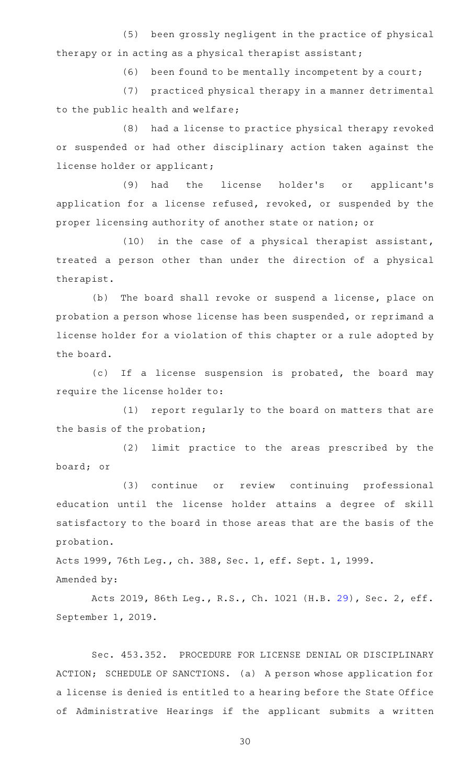(5) been grossly negligent in the practice of physical therapy or in acting as a physical therapist assistant;

 $(6)$  been found to be mentally incompetent by a court;

(7) practiced physical therapy in a manner detrimental to the public health and welfare;

(8) had a license to practice physical therapy revoked or suspended or had other disciplinary action taken against the license holder or applicant;

(9) had the license holder's or applicant's application for a license refused, revoked, or suspended by the proper licensing authority of another state or nation; or

 $(10)$  in the case of a physical therapist assistant, treated a person other than under the direction of a physical therapist.

(b) The board shall revoke or suspend a license, place on probation a person whose license has been suspended, or reprimand a license holder for a violation of this chapter or a rule adopted by the board.

(c) If a license suspension is probated, the board may require the license holder to:

(1) report regularly to the board on matters that are the basis of the probation;

(2) limit practice to the areas prescribed by the board; or

(3) continue or review continuing professional education until the license holder attains a degree of skill satisfactory to the board in those areas that are the basis of the probation.

Acts 1999, 76th Leg., ch. 388, Sec. 1, eff. Sept. 1, 1999.

Amended by:

Acts 2019, 86th Leg., R.S., Ch. 1021 (H.B. [29](http://www.legis.state.tx.us/tlodocs/86R/billtext/html/HB00029F.HTM)), Sec. 2, eff. September 1, 2019.

Sec. 453.352. PROCEDURE FOR LICENSE DENIAL OR DISCIPLINARY ACTION; SCHEDULE OF SANCTIONS. (a) A person whose application for a license is denied is entitled to a hearing before the State Office of Administrative Hearings if the applicant submits a written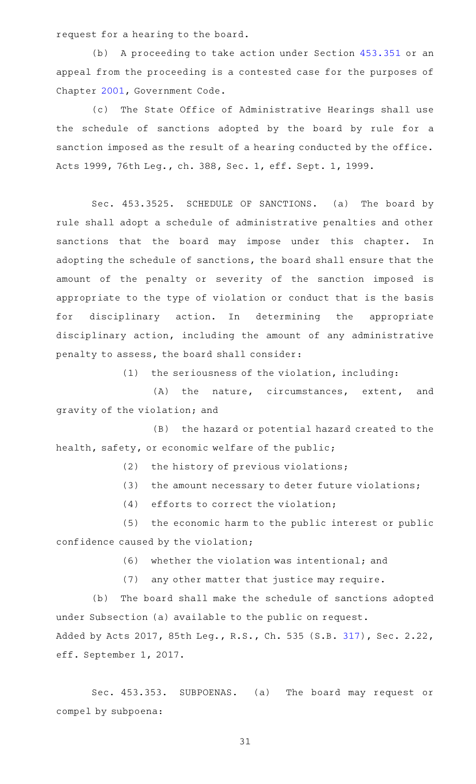request for a hearing to the board.

(b) A proceeding to take action under Section [453.351](https://statutes.capitol.texas.gov/GetStatute.aspx?Code=OC&Value=453.351) or an appeal from the proceeding is a contested case for the purposes of Chapter [2001](https://statutes.capitol.texas.gov/GetStatute.aspx?Code=GV&Value=2001), Government Code.

(c) The State Office of Administrative Hearings shall use the schedule of sanctions adopted by the board by rule for a sanction imposed as the result of a hearing conducted by the office. Acts 1999, 76th Leg., ch. 388, Sec. 1, eff. Sept. 1, 1999.

Sec. 453.3525. SCHEDULE OF SANCTIONS. (a) The board by rule shall adopt a schedule of administrative penalties and other sanctions that the board may impose under this chapter. In adopting the schedule of sanctions, the board shall ensure that the amount of the penalty or severity of the sanction imposed is appropriate to the type of violation or conduct that is the basis for disciplinary action. In determining the appropriate disciplinary action, including the amount of any administrative penalty to assess, the board shall consider:

 $(1)$  the seriousness of the violation, including:

(A) the nature, circumstances, extent, and gravity of the violation; and

(B) the hazard or potential hazard created to the health, safety, or economic welfare of the public;

 $(2)$  the history of previous violations;

 $(3)$  the amount necessary to deter future violations;

 $(4)$  efforts to correct the violation;

(5) the economic harm to the public interest or public confidence caused by the violation;

(6) whether the violation was intentional; and

(7) any other matter that justice may require.

(b) The board shall make the schedule of sanctions adopted under Subsection (a) available to the public on request. Added by Acts 2017, 85th Leg., R.S., Ch. 535 (S.B. [317](http://www.legis.state.tx.us/tlodocs/85R/billtext/html/SB00317F.HTM)), Sec. 2.22, eff. September 1, 2017.

Sec. 453.353. SUBPOENAS. (a) The board may request or compel by subpoena: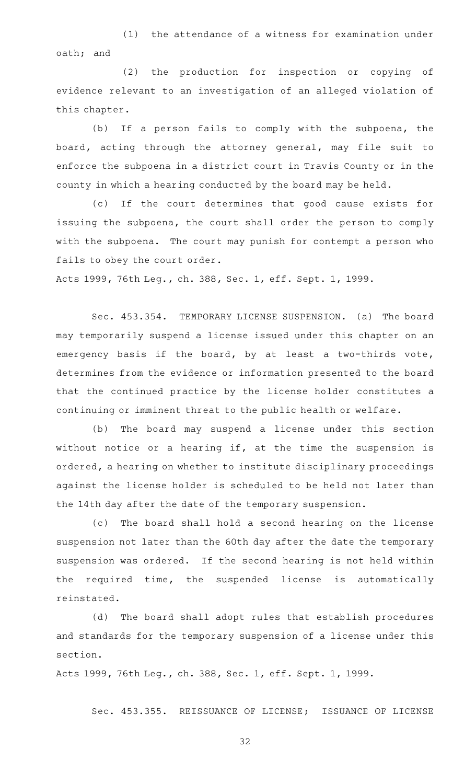(1) the attendance of a witness for examination under oath; and

(2) the production for inspection or copying of evidence relevant to an investigation of an alleged violation of this chapter.

(b) If a person fails to comply with the subpoena, the board, acting through the attorney general, may file suit to enforce the subpoena in a district court in Travis County or in the county in which a hearing conducted by the board may be held.

(c) If the court determines that good cause exists for issuing the subpoena, the court shall order the person to comply with the subpoena. The court may punish for contempt a person who fails to obey the court order.

Acts 1999, 76th Leg., ch. 388, Sec. 1, eff. Sept. 1, 1999.

Sec. 453.354. TEMPORARY LICENSE SUSPENSION. (a) The board may temporarily suspend a license issued under this chapter on an emergency basis if the board, by at least a two-thirds vote, determines from the evidence or information presented to the board that the continued practice by the license holder constitutes a continuing or imminent threat to the public health or welfare.

(b) The board may suspend a license under this section without notice or a hearing if, at the time the suspension is ordered, a hearing on whether to institute disciplinary proceedings against the license holder is scheduled to be held not later than the 14th day after the date of the temporary suspension.

(c) The board shall hold a second hearing on the license suspension not later than the 60th day after the date the temporary suspension was ordered. If the second hearing is not held within the required time, the suspended license is automatically reinstated.

(d) The board shall adopt rules that establish procedures and standards for the temporary suspension of a license under this section.

Acts 1999, 76th Leg., ch. 388, Sec. 1, eff. Sept. 1, 1999.

Sec. 453.355. REISSUANCE OF LICENSE; ISSUANCE OF LICENSE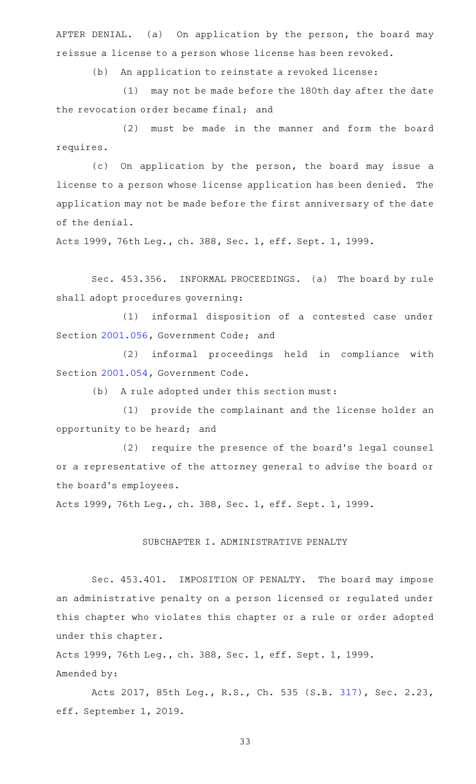AFTER DENIAL. (a) On application by the person, the board may reissue a license to a person whose license has been revoked.

(b) An application to reinstate a revoked license:

(1) may not be made before the 180th day after the date the revocation order became final; and

(2) must be made in the manner and form the board requires.

(c) On application by the person, the board may issue a license to a person whose license application has been denied. The application may not be made before the first anniversary of the date of the denial.

Acts 1999, 76th Leg., ch. 388, Sec. 1, eff. Sept. 1, 1999.

Sec. 453.356. INFORMAL PROCEEDINGS. (a) The board by rule shall adopt procedures governing:

(1) informal disposition of a contested case under Section [2001.056](https://statutes.capitol.texas.gov/GetStatute.aspx?Code=GV&Value=2001.056), Government Code; and

(2) informal proceedings held in compliance with Section [2001.054](https://statutes.capitol.texas.gov/GetStatute.aspx?Code=GV&Value=2001.054), Government Code.

(b) A rule adopted under this section must:

(1) provide the complainant and the license holder an opportunity to be heard; and

(2) require the presence of the board's legal counsel or a representative of the attorney general to advise the board or the board's employees.

Acts 1999, 76th Leg., ch. 388, Sec. 1, eff. Sept. 1, 1999.

# SUBCHAPTER I. ADMINISTRATIVE PENALTY

Sec. 453.401. IMPOSITION OF PENALTY. The board may impose an administrative penalty on a person licensed or regulated under this chapter who violates this chapter or a rule or order adopted under this chapter.

Acts 1999, 76th Leg., ch. 388, Sec. 1, eff. Sept. 1, 1999. Amended by:

Acts 2017, 85th Leg., R.S., Ch. 535 (S.B. [317](http://www.legis.state.tx.us/tlodocs/85R/billtext/html/SB00317F.HTM)), Sec. 2.23, eff. September 1, 2019.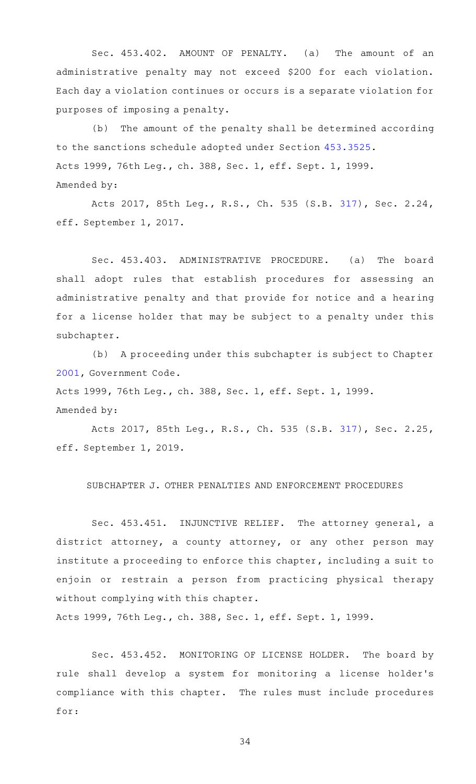Sec. 453.402. AMOUNT OF PENALTY. (a) The amount of an administrative penalty may not exceed \$200 for each violation. Each day a violation continues or occurs is a separate violation for purposes of imposing a penalty.

(b) The amount of the penalty shall be determined according to the sanctions schedule adopted under Section [453.3525](https://statutes.capitol.texas.gov/GetStatute.aspx?Code=OC&Value=453.3525). Acts 1999, 76th Leg., ch. 388, Sec. 1, eff. Sept. 1, 1999. Amended by:

Acts 2017, 85th Leg., R.S., Ch. 535 (S.B. [317](http://www.legis.state.tx.us/tlodocs/85R/billtext/html/SB00317F.HTM)), Sec. 2.24, eff. September 1, 2017.

Sec. 453.403. ADMINISTRATIVE PROCEDURE. (a) The board shall adopt rules that establish procedures for assessing an administrative penalty and that provide for notice and a hearing for a license holder that may be subject to a penalty under this subchapter.

(b) A proceeding under this subchapter is subject to Chapter [2001](https://statutes.capitol.texas.gov/GetStatute.aspx?Code=GV&Value=2001), Government Code.

Acts 1999, 76th Leg., ch. 388, Sec. 1, eff. Sept. 1, 1999.

#### Amended by:

Acts 2017, 85th Leg., R.S., Ch. 535 (S.B. [317](http://www.legis.state.tx.us/tlodocs/85R/billtext/html/SB00317F.HTM)), Sec. 2.25, eff. September 1, 2019.

## SUBCHAPTER J. OTHER PENALTIES AND ENFORCEMENT PROCEDURES

Sec. 453.451. INJUNCTIVE RELIEF. The attorney general, a district attorney, a county attorney, or any other person may institute a proceeding to enforce this chapter, including a suit to enjoin or restrain a person from practicing physical therapy without complying with this chapter.

Acts 1999, 76th Leg., ch. 388, Sec. 1, eff. Sept. 1, 1999.

Sec. 453.452. MONITORING OF LICENSE HOLDER. The board by rule shall develop a system for monitoring a license holder 's compliance with this chapter. The rules must include procedures for: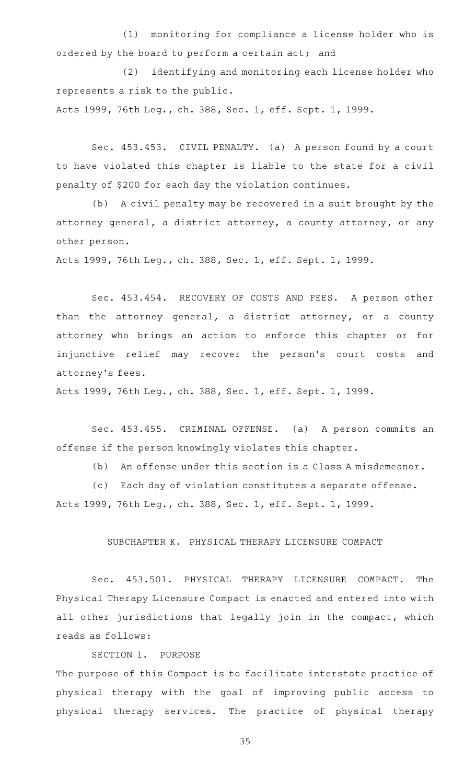(1) monitoring for compliance a license holder who is ordered by the board to perform a certain act; and

(2) identifying and monitoring each license holder who represents a risk to the public.

Acts 1999, 76th Leg., ch. 388, Sec. 1, eff. Sept. 1, 1999.

Sec. 453.453. CIVIL PENALTY. (a) A person found by a court to have violated this chapter is liable to the state for a civil penalty of \$200 for each day the violation continues.

(b) A civil penalty may be recovered in a suit brought by the attorney general, a district attorney, a county attorney, or any other person.

Acts 1999, 76th Leg., ch. 388, Sec. 1, eff. Sept. 1, 1999.

Sec. 453.454. RECOVERY OF COSTS AND FEES. A person other than the attorney general, a district attorney, or a county attorney who brings an action to enforce this chapter or for injunctive relief may recover the person's court costs and attorney 's fees.

Acts 1999, 76th Leg., ch. 388, Sec. 1, eff. Sept. 1, 1999.

Sec. 453.455. CRIMINAL OFFENSE. (a) A person commits an offense if the person knowingly violates this chapter.

(b) An offense under this section is a Class A misdemeanor.

(c) Each day of violation constitutes a separate offense.

Acts 1999, 76th Leg., ch. 388, Sec. 1, eff. Sept. 1, 1999.

## SUBCHAPTER K. PHYSICAL THERAPY LICENSURE COMPACT

Sec. 453.501. PHYSICAL THERAPY LICENSURE COMPACT. The Physical Therapy Licensure Compact is enacted and entered into with all other jurisdictions that legally join in the compact, which reads as follows:

SECTION 1. PURPOSE

The purpose of this Compact is to facilitate interstate practice of physical therapy with the goal of improving public access to physical therapy services. The practice of physical therapy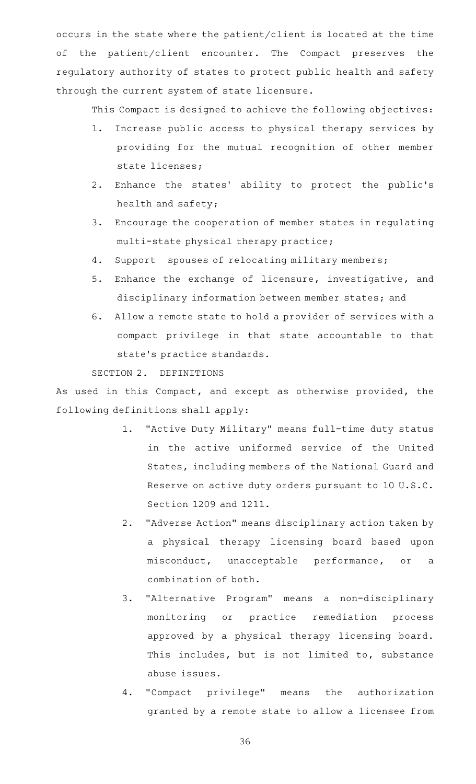occurs in the state where the patient/client is located at the time of the patient/client encounter. The Compact preserves the regulatory authority of states to protect public health and safety through the current system of state licensure.

This Compact is designed to achieve the following objectives:

- 1. Increase public access to physical therapy services by providing for the mutual recognition of other member state licenses;
- 2. Enhance the states' ability to protect the public's health and safety;
- 3. Encourage the cooperation of member states in regulating multi-state physical therapy practice;
- 4. Support spouses of relocating military members;
- 5. Enhance the exchange of licensure, investigative, and disciplinary information between member states; and
- 6. Allow a remote state to hold a provider of services with a compact privilege in that state accountable to that state 's practice standards.

SECTION 2. DEFINITIONS

As used in this Compact, and except as otherwise provided, the following definitions shall apply:

- 1. "Active Duty Military" means full-time duty status in the active uniformed service of the United States, including members of the National Guard and Reserve on active duty orders pursuant to 10 U.S.C. Section 1209 and 1211.
- 2. "Adverse Action" means disciplinary action taken by a physical therapy licensing board based upon misconduct, unacceptable performance, or a combination of both.
- 3. "Alternative Program" means a non-disciplinary monitoring or practice remediation process approved by a physical therapy licensing board. This includes, but is not limited to, substance abuse issues.
- 4. "Compact privilege" means the authorization granted by a remote state to allow a licensee from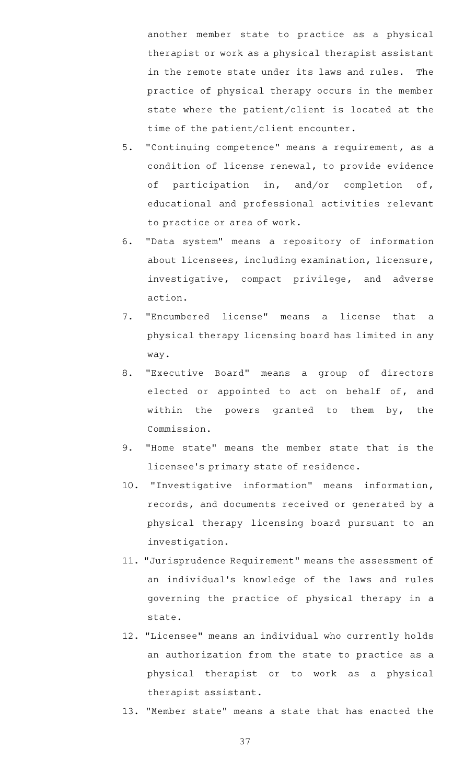another member state to practice as a physical therapist or work as a physical therapist assistant in the remote state under its laws and rules. The practice of physical therapy occurs in the member state where the patient/client is located at the time of the patient/client encounter.

- 5. "Continuing competence" means a requirement, as a condition of license renewal, to provide evidence of participation in, and/or completion of, educational and professional activities relevant to practice or area of work.
- 6. "Data system" means a repository of information about licensees, including examination, licensure, investigative, compact privilege, and adverse action.
- 7. "Encumbered license" means a license that a physical therapy licensing board has limited in any way.
- 8. "Executive Board" means a group of directors elected or appointed to act on behalf of, and within the powers granted to them by, the Commission.
- 9. "Home state" means the member state that is the licensee 's primary state of residence.
- 10. "Investigative information" means information, records, and documents received or generated by a physical therapy licensing board pursuant to an investigation.
- 11. "Jurisprudence Requirement" means the assessment of an individual 's knowledge of the laws and rules governing the practice of physical therapy in a state.
- 12. "Licensee" means an individual who currently holds an authorization from the state to practice as a physical therapist or to work as a physical therapist assistant.
- 13. "Member state" means a state that has enacted the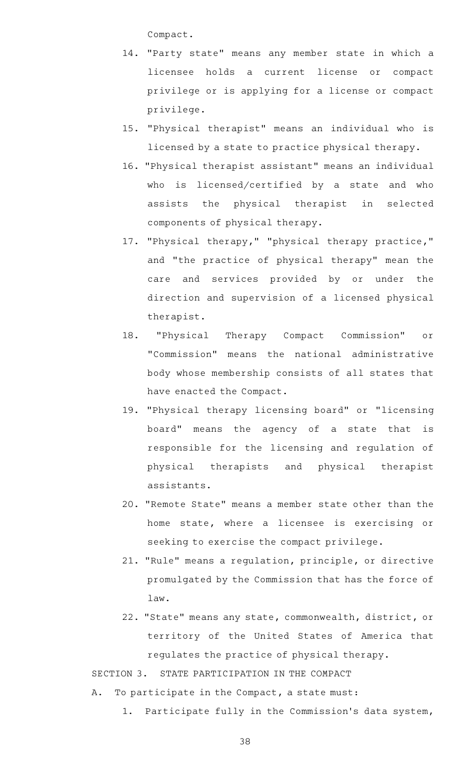Compact.

- 14. "Party state" means any member state in which a licensee holds a current license or compact privilege or is applying for a license or compact privilege.
- 15. "Physical therapist" means an individual who is licensed by a state to practice physical therapy.
- 16. "Physical therapist assistant" means an individual who is licensed/certified by a state and who assists the physical therapist in selected components of physical therapy.
- 17. "Physical therapy," "physical therapy practice," and "the practice of physical therapy" mean the care and services provided by or under the direction and supervision of a licensed physical therapist.
- 18. "Physical Therapy Compact Commission" or "Commission" means the national administrative body whose membership consists of all states that have enacted the Compact.
- 19. "Physical therapy licensing board" or "licensing board" means the agency of a state that is responsible for the licensing and regulation of physical therapists and physical therapist assistants.
- 20. "Remote State" means a member state other than the home state, where a licensee is exercising or seeking to exercise the compact privilege.
- 21. "Rule" means a regulation, principle, or directive promulgated by the Commission that has the force of law.
- 22. "State" means any state, commonwealth, district, or territory of the United States of America that regulates the practice of physical therapy.

SECTION 3. STATE PARTICIPATION IN THE COMPACT

- A. To participate in the Compact, a state must:
	- 1. Participate fully in the Commission's data system,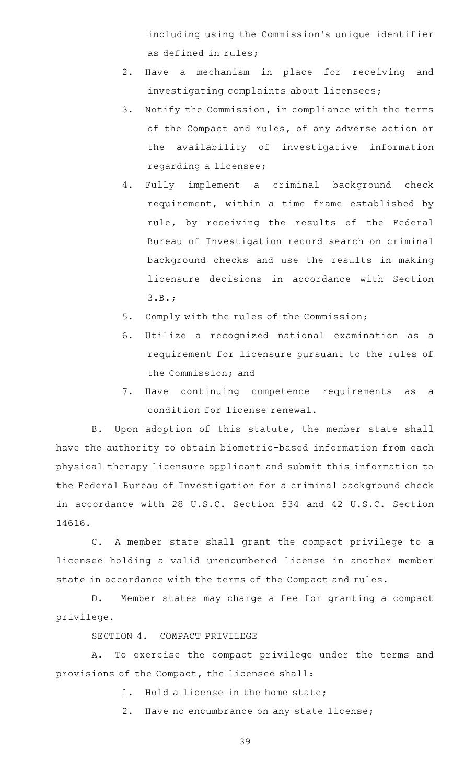including using the Commission 's unique identifier as defined in rules;

- 2. Have a mechanism in place for receiving and investigating complaints about licensees;
- 3. Notify the Commission, in compliance with the terms of the Compact and rules, of any adverse action or the availability of investigative information regarding a licensee;

4. Fully implement a criminal background check requirement, within a time frame established by rule, by receiving the results of the Federal Bureau of Investigation record search on criminal background checks and use the results in making licensure decisions in accordance with Section 3.B.;

- 5. Comply with the rules of the Commission;
- 6. Utilize a recognized national examination as a requirement for licensure pursuant to the rules of the Commission; and
- 7. Have continuing competence requirements as a condition for license renewal.

B. Upon adoption of this statute, the member state shall have the authority to obtain biometric-based information from each physical therapy licensure applicant and submit this information to the Federal Bureau of Investigation for a criminal background check in accordance with 28 U.S.C. Section 534 and 42 U.S.C. Section 14616.

C. A member state shall grant the compact privilege to a licensee holding a valid unencumbered license in another member state in accordance with the terms of the Compact and rules.

D. Member states may charge a fee for granting a compact privilege.

SECTION 4. COMPACT PRIVILEGE

A. To exercise the compact privilege under the terms and provisions of the Compact, the licensee shall:

- 1. Hold a license in the home state;
- 2. Have no encumbrance on any state license;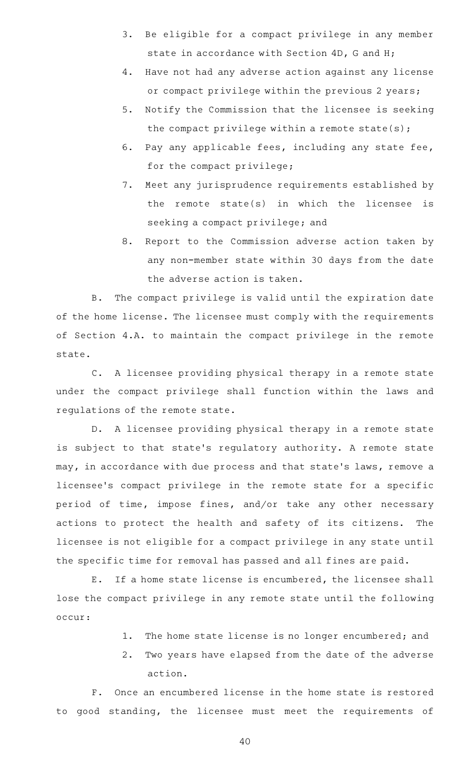- 3. Be eligible for a compact privilege in any member state in accordance with Section 4D, G and H;
- 4. Have not had any adverse action against any license or compact privilege within the previous 2 years;
- 5. Notify the Commission that the licensee is seeking the compact privilege within a remote state(s);
- 6. Pay any applicable fees, including any state fee, for the compact privilege;
- 7. Meet any jurisprudence requirements established by the remote state(s) in which the licensee is seeking a compact privilege; and
- 8. Report to the Commission adverse action taken by any non-member state within 30 days from the date the adverse action is taken.

B. The compact privilege is valid until the expiration date of the home license. The licensee must comply with the requirements of Section 4.A. to maintain the compact privilege in the remote state.

C. A licensee providing physical therapy in a remote state under the compact privilege shall function within the laws and regulations of the remote state.

D. A licensee providing physical therapy in a remote state is subject to that state's regulatory authority. A remote state may, in accordance with due process and that state's laws, remove a licensee 's compact privilege in the remote state for a specific period of time, impose fines, and/or take any other necessary actions to protect the health and safety of its citizens. The licensee is not eligible for a compact privilege in any state until the specific time for removal has passed and all fines are paid.

E. If a home state license is encumbered, the licensee shall lose the compact privilege in any remote state until the following occur:

- 1. The home state license is no longer encumbered; and
- 2. Two years have elapsed from the date of the adverse action.

F. Once an encumbered license in the home state is restored to good standing, the licensee must meet the requirements of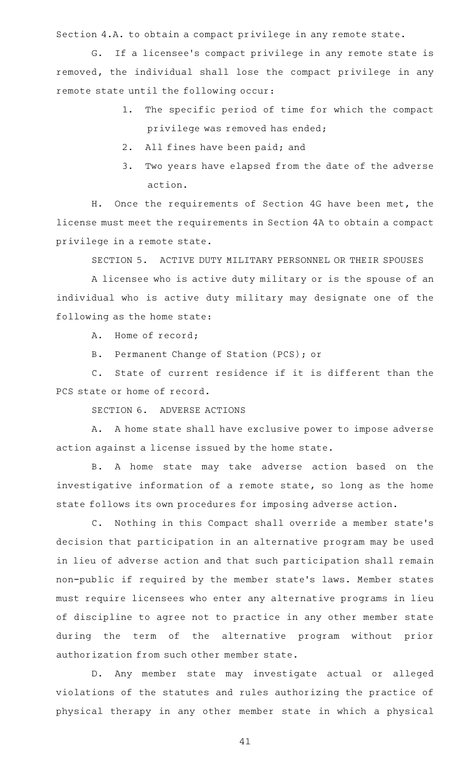Section 4.A. to obtain a compact privilege in any remote state.

G. If a licensee's compact privilege in any remote state is removed, the individual shall lose the compact privilege in any remote state until the following occur:

- 1. The specific period of time for which the compact privilege was removed has ended;
- 2. All fines have been paid; and
- 3. Two years have elapsed from the date of the adverse action.

H. Once the requirements of Section 4G have been met, the license must meet the requirements in Section 4A to obtain a compact privilege in a remote state.

SECTION 5. ACTIVE DUTY MILITARY PERSONNEL OR THEIR SPOUSES

A licensee who is active duty military or is the spouse of an individual who is active duty military may designate one of the following as the home state:

A. Home of record;

B. Permanent Change of Station (PCS); or

C. State of current residence if it is different than the PCS state or home of record.

SECTION 6. ADVERSE ACTIONS

A. A home state shall have exclusive power to impose adverse action against a license issued by the home state.

B. A home state may take adverse action based on the investigative information of a remote state, so long as the home state follows its own procedures for imposing adverse action.

C. Nothing in this Compact shall override a member state's decision that participation in an alternative program may be used in lieu of adverse action and that such participation shall remain non-public if required by the member state 's laws. Member states must require licensees who enter any alternative programs in lieu of discipline to agree not to practice in any other member state during the term of the alternative program without prior authorization from such other member state.

D. Any member state may investigate actual or alleged violations of the statutes and rules authorizing the practice of physical therapy in any other member state in which a physical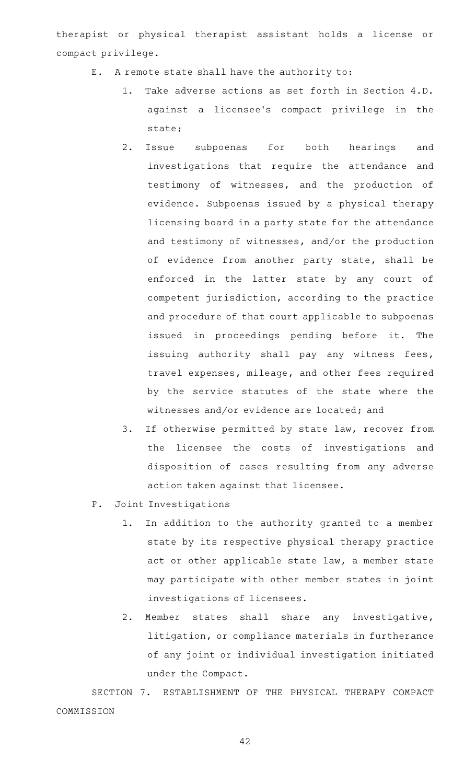therapist or physical therapist assistant holds a license or compact privilege.

- E. A remote state shall have the authority to:
	- 1. Take adverse actions as set forth in Section 4.D. against a licensee 's compact privilege in the state;
	- 2. Issue subpoenas for both hearings and investigations that require the attendance and testimony of witnesses, and the production of evidence. Subpoenas issued by a physical therapy licensing board in a party state for the attendance and testimony of witnesses, and/or the production of evidence from another party state, shall be enforced in the latter state by any court of competent jurisdiction, according to the practice and procedure of that court applicable to subpoenas issued in proceedings pending before it. The issuing authority shall pay any witness fees, travel expenses, mileage, and other fees required by the service statutes of the state where the witnesses and/or evidence are located; and
	- 3. If otherwise permitted by state law, recover from the licensee the costs of investigations and disposition of cases resulting from any adverse action taken against that licensee.
- F. Joint Investigations
	- 1. In addition to the authority granted to a member state by its respective physical therapy practice act or other applicable state law, a member state may participate with other member states in joint investigations of licensees.
	- 2. Member states shall share any investigative, litigation, or compliance materials in furtherance of any joint or individual investigation initiated under the Compact.

SECTION 7. ESTABLISHMENT OF THE PHYSICAL THERAPY COMPACT COMMISSION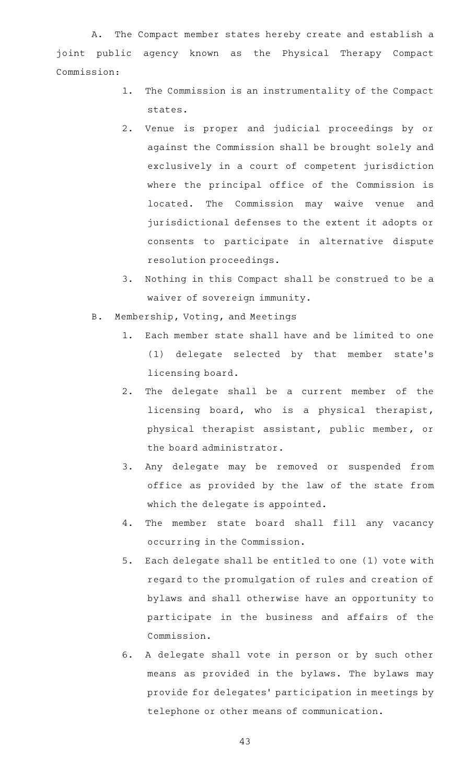A. The Compact member states hereby create and establish a joint public agency known as the Physical Therapy Compact Commission:

- 1. The Commission is an instrumentality of the Compact states.
- 2. Venue is proper and judicial proceedings by or against the Commission shall be brought solely and exclusively in a court of competent jurisdiction where the principal office of the Commission is located. The Commission may waive venue and jurisdictional defenses to the extent it adopts or consents to participate in alternative dispute resolution proceedings.
- 3. Nothing in this Compact shall be construed to be a waiver of sovereign immunity.
- B. Membership, Voting, and Meetings
	- 1. Each member state shall have and be limited to one (1) delegate selected by that member state 's licensing board.
	- 2. The delegate shall be a current member of the licensing board, who is a physical therapist, physical therapist assistant, public member, or the board administrator.
	- 3. Any delegate may be removed or suspended from office as provided by the law of the state from which the delegate is appointed.
	- 4. The member state board shall fill any vacancy occurring in the Commission.
	- 5. Each delegate shall be entitled to one (1) vote with regard to the promulgation of rules and creation of bylaws and shall otherwise have an opportunity to participate in the business and affairs of the Commission.
	- 6. A delegate shall vote in person or by such other means as provided in the bylaws. The bylaws may provide for delegates' participation in meetings by telephone or other means of communication.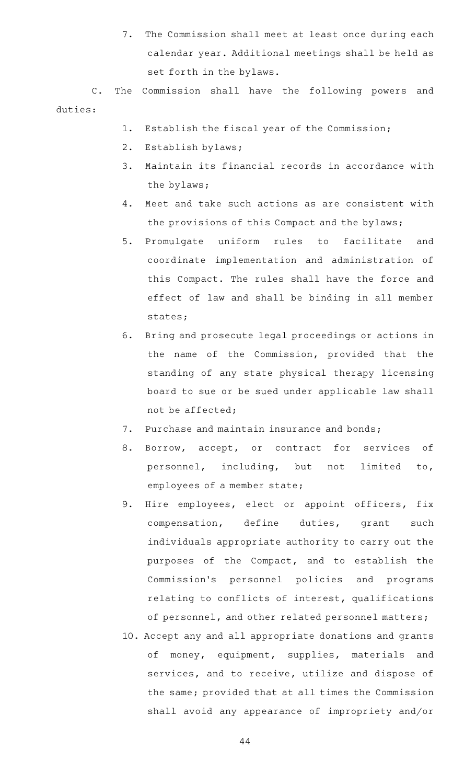7. The Commission shall meet at least once during each calendar year. Additional meetings shall be held as set forth in the bylaws.

C. The Commission shall have the following powers and duties:

- 1. Establish the fiscal year of the Commission;
- 2. Establish bylaws;
- 3. Maintain its financial records in accordance with the bylaws;
- 4. Meet and take such actions as are consistent with the provisions of this Compact and the bylaws;
- 5. Promulgate uniform rules to facilitate and coordinate implementation and administration of this Compact. The rules shall have the force and effect of law and shall be binding in all member states;
- 6. Bring and prosecute legal proceedings or actions in the name of the Commission, provided that the standing of any state physical therapy licensing board to sue or be sued under applicable law shall not be affected;
- 7. Purchase and maintain insurance and bonds;
- 8. Borrow, accept, or contract for services of personnel, including, but not limited to, employees of a member state;
- 9. Hire employees, elect or appoint officers, fix compensation, define duties, grant such individuals appropriate authority to carry out the purposes of the Compact, and to establish the Commission 's personnel policies and programs relating to conflicts of interest, qualifications of personnel, and other related personnel matters;
- 10. Accept any and all appropriate donations and grants of money, equipment, supplies, materials and services, and to receive, utilize and dispose of the same; provided that at all times the Commission shall avoid any appearance of impropriety and/or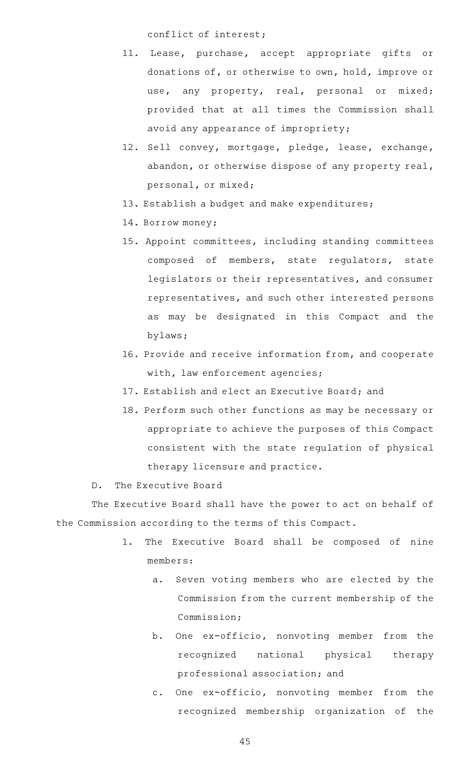conflict of interest;

- 11. Lease, purchase, accept appropriate gifts or donations of, or otherwise to own, hold, improve or use, any property, real, personal or mixed; provided that at all times the Commission shall avoid any appearance of impropriety;
- 12. Sell convey, mortgage, pledge, lease, exchange, abandon, or otherwise dispose of any property real, personal, or mixed;
- 13. Establish a budget and make expenditures;
- 14. Borrow money;
- 15. Appoint committees, including standing committees composed of members, state regulators, state legislators or their representatives, and consumer representatives, and such other interested persons as may be designated in this Compact and the bylaws;
- 16. Provide and receive information from, and cooperate with, law enforcement agencies;
- 17. Establish and elect an Executive Board; and
- 18. Perform such other functions as may be necessary or appropriate to achieve the purposes of this Compact consistent with the state regulation of physical therapy licensure and practice.
- D. The Executive Board

The Executive Board shall have the power to act on behalf of the Commission according to the terms of this Compact.

- 1. The Executive Board shall be composed of nine members:
	- a. Seven voting members who are elected by the Commission from the current membership of the Commission;
	- b. One ex-officio, nonvoting member from the recognized national physical therapy professional association; and
	- c. One ex-officio, nonvoting member from the recognized membership organization of the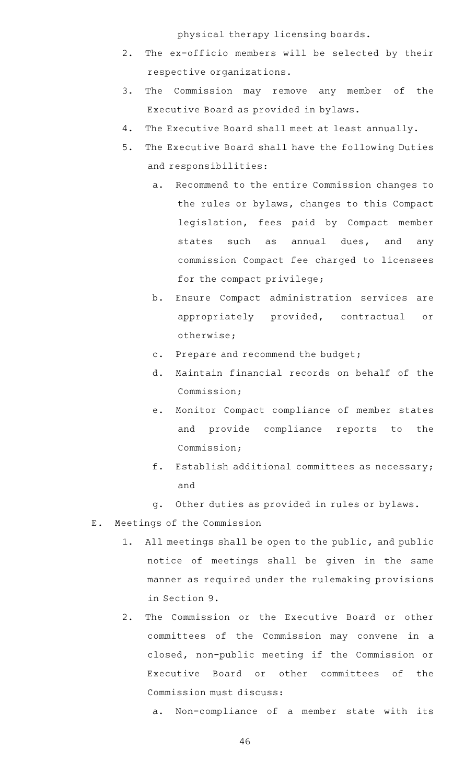physical therapy licensing boards.

- 2. The ex-officio members will be selected by their respective organizations.
- 3. The Commission may remove any member of the Executive Board as provided in bylaws.
- 4. The Executive Board shall meet at least annually.
- 5. The Executive Board shall have the following Duties and responsibilities:
	- a. Recommend to the entire Commission changes to the rules or bylaws, changes to this Compact legislation, fees paid by Compact member states such as annual dues, and any commission Compact fee charged to licensees for the compact privilege;
	- b. Ensure Compact administration services are appropriately provided, contractual or otherwise;
	- c. Prepare and recommend the budget;
	- d. Maintain financial records on behalf of the Commission;
	- e. Monitor Compact compliance of member states and provide compliance reports to the Commission;
	- $f.$  Establish additional committees as necessary; and
	- g. Other duties as provided in rules or bylaws.
- E. Meetings of the Commission
	- 1. All meetings shall be open to the public, and public notice of meetings shall be given in the same manner as required under the rulemaking provisions in Section 9.
	- 2. The Commission or the Executive Board or other committees of the Commission may convene in a closed, non-public meeting if the Commission or Executive Board or other committees of the Commission must discuss:
		- a. Non-compliance of a member state with its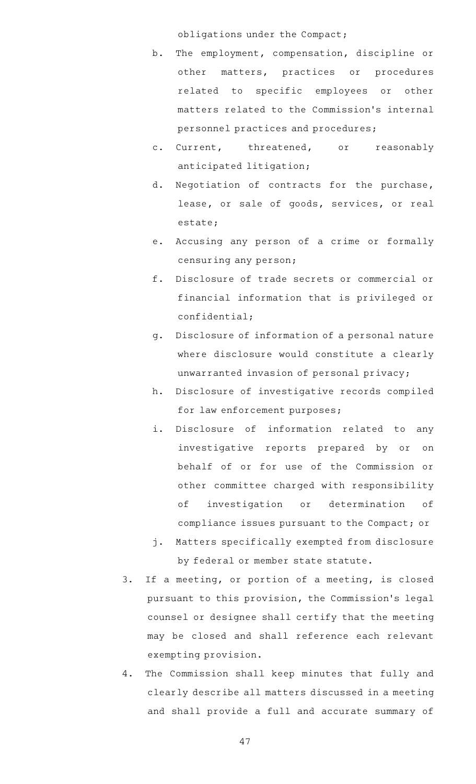obligations under the Compact;

- b. The employment, compensation, discipline or other matters, practices or procedures related to specific employees or other matters related to the Commission 's internal personnel practices and procedures;
- c. Current, threatened, or reasonably anticipated litigation;
- d. Negotiation of contracts for the purchase, lease, or sale of goods, services, or real estate;
- e. Accusing any person of a crime or formally censuring any person;
- f. Disclosure of trade secrets or commercial or financial information that is privileged or confidential;
- g. Disclosure of information of a personal nature where disclosure would constitute a clearly unwarranted invasion of personal privacy;
- h. Disclosure of investigative records compiled for law enforcement purposes;
- i. Disclosure of information related to any investigative reports prepared by or on behalf of or for use of the Commission or other committee charged with responsibility of investigation or determination of compliance issues pursuant to the Compact; or
- j. Matters specifically exempted from disclosure by federal or member state statute.
- 3. If a meeting, or portion of a meeting, is closed pursuant to this provision, the Commission 's legal counsel or designee shall certify that the meeting may be closed and shall reference each relevant exempting provision.
- 4. The Commission shall keep minutes that fully and clearly describe all matters discussed in a meeting and shall provide a full and accurate summary of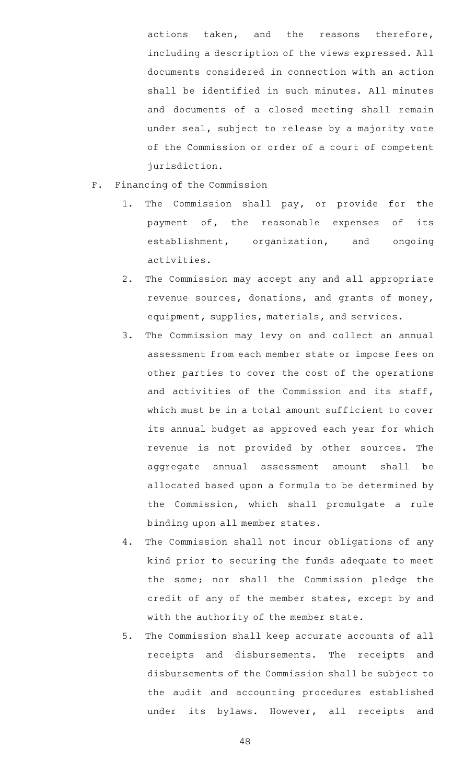actions taken, and the reasons therefore, including a description of the views expressed. All documents considered in connection with an action shall be identified in such minutes. All minutes and documents of a closed meeting shall remain under seal, subject to release by a majority vote of the Commission or order of a court of competent jurisdiction.

- F. Financing of the Commission
	- 1. The Commission shall pay, or provide for the payment of, the reasonable expenses of its establishment, organization, and ongoing activities.
	- 2. The Commission may accept any and all appropriate revenue sources, donations, and grants of money, equipment, supplies, materials, and services.
	- 3. The Commission may levy on and collect an annual assessment from each member state or impose fees on other parties to cover the cost of the operations and activities of the Commission and its staff, which must be in a total amount sufficient to cover its annual budget as approved each year for which revenue is not provided by other sources. The aggregate annual assessment amount shall be allocated based upon a formula to be determined by the Commission, which shall promulgate a rule binding upon all member states.
	- 4. The Commission shall not incur obligations of any kind prior to securing the funds adequate to meet the same; nor shall the Commission pledge the credit of any of the member states, except by and with the authority of the member state.
	- 5. The Commission shall keep accurate accounts of all receipts and disbursements. The receipts and disbursements of the Commission shall be subject to the audit and accounting procedures established under its bylaws. However, all receipts and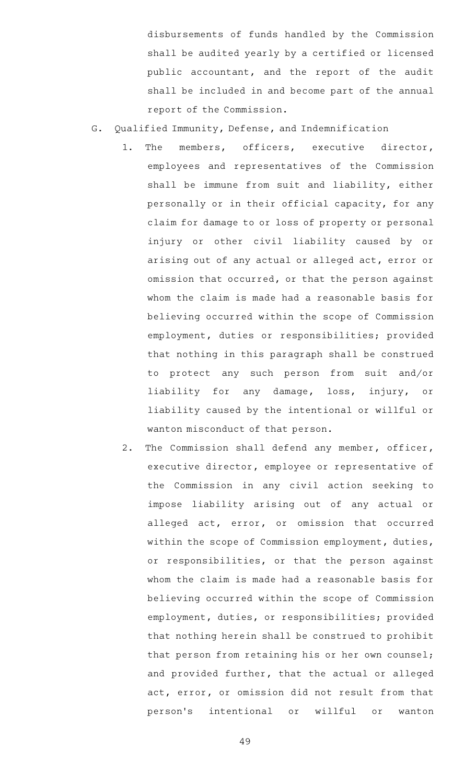disbursements of funds handled by the Commission shall be audited yearly by a certified or licensed public accountant, and the report of the audit shall be included in and become part of the annual report of the Commission.

- G. Qualified Immunity, Defense, and Indemnification
	- 1. The members, officers, executive director, employees and representatives of the Commission shall be immune from suit and liability, either personally or in their official capacity, for any claim for damage to or loss of property or personal injury or other civil liability caused by or arising out of any actual or alleged act, error or omission that occurred, or that the person against whom the claim is made had a reasonable basis for believing occurred within the scope of Commission employment, duties or responsibilities; provided that nothing in this paragraph shall be construed to protect any such person from suit and/or liability for any damage, loss, injury, or liability caused by the intentional or willful or wanton misconduct of that person.
	- 2. The Commission shall defend any member, officer, executive director, employee or representative of the Commission in any civil action seeking to impose liability arising out of any actual or alleged act, error, or omission that occurred within the scope of Commission employment, duties, or responsibilities, or that the person against whom the claim is made had a reasonable basis for believing occurred within the scope of Commission employment, duties, or responsibilities; provided that nothing herein shall be construed to prohibit that person from retaining his or her own counsel; and provided further, that the actual or alleged act, error, or omission did not result from that person 's intentional or willful or wanton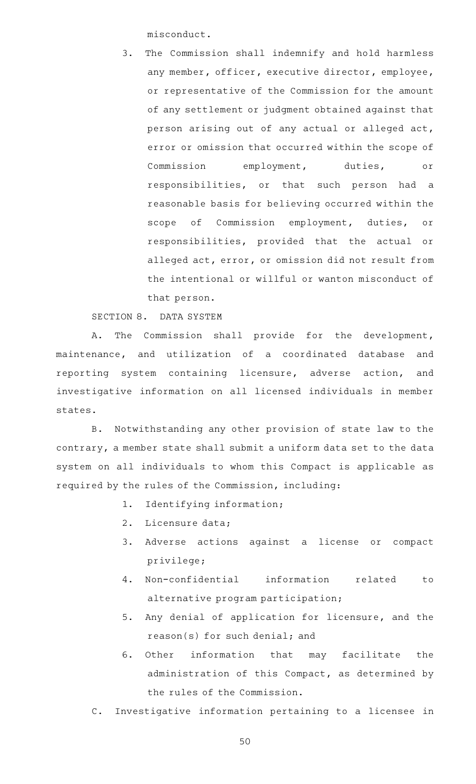misconduct.

3. The Commission shall indemnify and hold harmless any member, officer, executive director, employee, or representative of the Commission for the amount of any settlement or judgment obtained against that person arising out of any actual or alleged act, error or omission that occurred within the scope of Commission employment, duties, or responsibilities, or that such person had a reasonable basis for believing occurred within the scope of Commission employment, duties, or responsibilities, provided that the actual or alleged act, error, or omission did not result from the intentional or willful or wanton misconduct of that person.

SECTION 8. DATA SYSTEM

A. The Commission shall provide for the development, maintenance, and utilization of a coordinated database and reporting system containing licensure, adverse action, and investigative information on all licensed individuals in member states.

B. Notwithstanding any other provision of state law to the contrary, a member state shall submit a uniform data set to the data system on all individuals to whom this Compact is applicable as required by the rules of the Commission, including:

- 1. Identifying information;
- 2. Licensure data;
- 3. Adverse actions against a license or compact privilege;
- 4. Non-confidential information related to alternative program participation;
- 5. Any denial of application for licensure, and the reason(s) for such denial; and
- 6. Other information that may facilitate the administration of this Compact, as determined by the rules of the Commission.
- C. Investigative information pertaining to a licensee in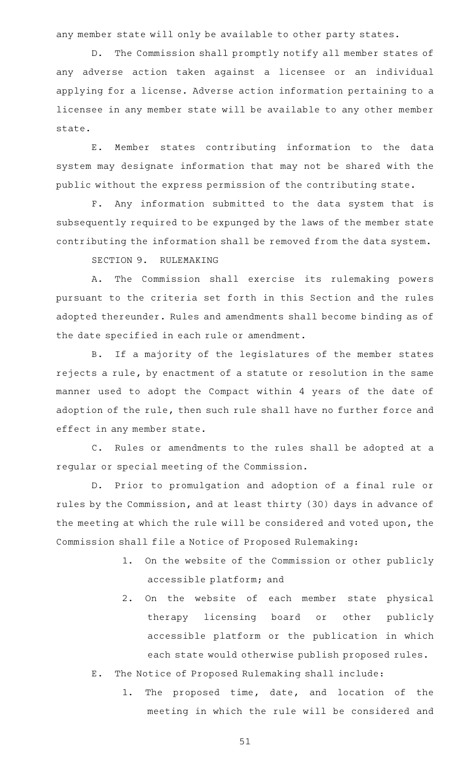any member state will only be available to other party states.

D. The Commission shall promptly notify all member states of any adverse action taken against a licensee or an individual applying for a license. Adverse action information pertaining to a licensee in any member state will be available to any other member state.

E. Member states contributing information to the data system may designate information that may not be shared with the public without the express permission of the contributing state.

F. Any information submitted to the data system that is subsequently required to be expunged by the laws of the member state contributing the information shall be removed from the data system.

SECTION 9. RULEMAKING

A. The Commission shall exercise its rulemaking powers pursuant to the criteria set forth in this Section and the rules adopted thereunder. Rules and amendments shall become binding as of the date specified in each rule or amendment.

B. If a majority of the legislatures of the member states rejects a rule, by enactment of a statute or resolution in the same manner used to adopt the Compact within 4 years of the date of adoption of the rule, then such rule shall have no further force and effect in any member state.

C. Rules or amendments to the rules shall be adopted at a regular or special meeting of the Commission.

D. Prior to promulgation and adoption of a final rule or rules by the Commission, and at least thirty (30) days in advance of the meeting at which the rule will be considered and voted upon, the Commission shall file a Notice of Proposed Rulemaking:

- 1. On the website of the Commission or other publicly accessible platform; and
- 2. On the website of each member state physical therapy licensing board or other publicly accessible platform or the publication in which each state would otherwise publish proposed rules.
- E. The Notice of Proposed Rulemaking shall include:
	- 1. The proposed time, date, and location of the meeting in which the rule will be considered and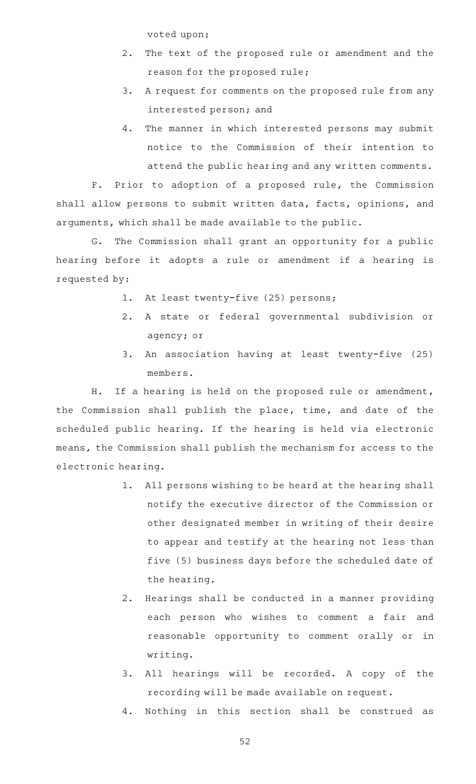voted upon;

- 2. The text of the proposed rule or amendment and the reason for the proposed rule;
- 3. A request for comments on the proposed rule from any interested person; and
- 4. The manner in which interested persons may submit notice to the Commission of their intention to attend the public hearing and any written comments.

F. Prior to adoption of a proposed rule, the Commission shall allow persons to submit written data, facts, opinions, and arguments, which shall be made available to the public.

G. The Commission shall grant an opportunity for a public hearing before it adopts a rule or amendment if a hearing is requested by:

- 1. At least twenty-five (25) persons;
- 2.AAA state or federal governmental subdivision or agency; or
- 3. An association having at least twenty-five (25) members.

H. If a hearing is held on the proposed rule or amendment, the Commission shall publish the place, time, and date of the scheduled public hearing. If the hearing is held via electronic means, the Commission shall publish the mechanism for access to the electronic hearing.

- 1. All persons wishing to be heard at the hearing shall notify the executive director of the Commission or other designated member in writing of their desire to appear and testify at the hearing not less than five (5) business days before the scheduled date of the hearing.
- 2. Hearings shall be conducted in a manner providing each person who wishes to comment a fair and reasonable opportunity to comment orally or in writing.
- 3. All hearings will be recorded. A copy of the recording will be made available on request.
- 4. Nothing in this section shall be construed as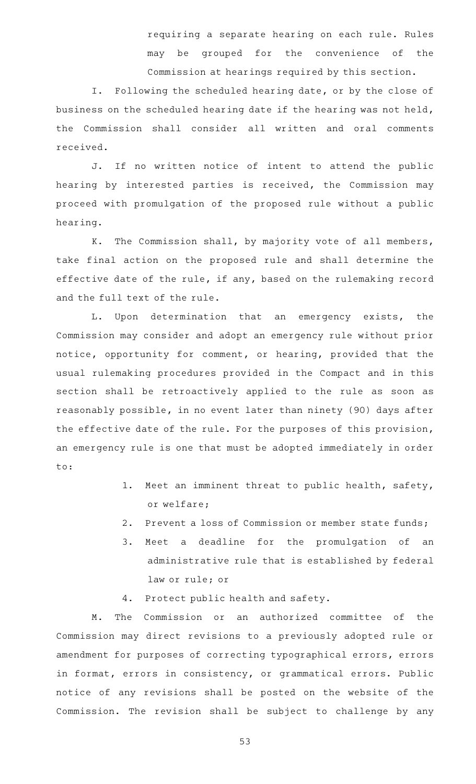requiring a separate hearing on each rule. Rules may be grouped for the convenience of the Commission at hearings required by this section.

I. Following the scheduled hearing date, or by the close of business on the scheduled hearing date if the hearing was not held, the Commission shall consider all written and oral comments received.

J. If no written notice of intent to attend the public hearing by interested parties is received, the Commission may proceed with promulgation of the proposed rule without a public hearing.

K. The Commission shall, by majority vote of all members, take final action on the proposed rule and shall determine the effective date of the rule, if any, based on the rulemaking record and the full text of the rule.

L. Upon determination that an emergency exists, the Commission may consider and adopt an emergency rule without prior notice, opportunity for comment, or hearing, provided that the usual rulemaking procedures provided in the Compact and in this section shall be retroactively applied to the rule as soon as reasonably possible, in no event later than ninety (90) days after the effective date of the rule. For the purposes of this provision, an emergency rule is one that must be adopted immediately in order to:

- 1. Meet an imminent threat to public health, safety, or welfare;
- 2. Prevent a loss of Commission or member state funds;
- 3. Meet a deadline for the promulgation of an administrative rule that is established by federal law or rule; or
- 4. Protect public health and safety.

M. The Commission or an authorized committee of the Commission may direct revisions to a previously adopted rule or amendment for purposes of correcting typographical errors, errors in format, errors in consistency, or grammatical errors. Public notice of any revisions shall be posted on the website of the Commission. The revision shall be subject to challenge by any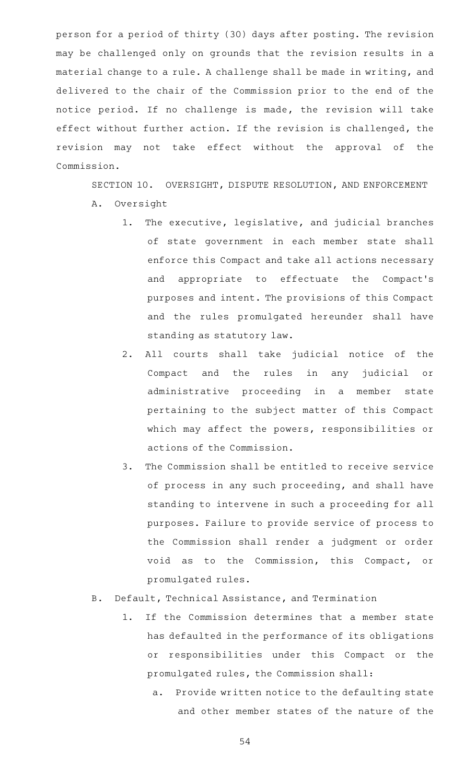person for a period of thirty (30) days after posting. The revision may be challenged only on grounds that the revision results in a material change to a rule. A challenge shall be made in writing, and delivered to the chair of the Commission prior to the end of the notice period. If no challenge is made, the revision will take effect without further action. If the revision is challenged, the revision may not take effect without the approval of the Commission.

SECTION 10. OVERSIGHT, DISPUTE RESOLUTION, AND ENFORCEMENT A. Oversight

- 1. The executive, legislative, and judicial branches of state government in each member state shall enforce this Compact and take all actions necessary and appropriate to effectuate the Compact 's purposes and intent. The provisions of this Compact and the rules promulgated hereunder shall have standing as statutory law.
- 2. All courts shall take judicial notice of the Compact and the rules in any judicial or administrative proceeding in a member state pertaining to the subject matter of this Compact which may affect the powers, responsibilities or actions of the Commission.
- 3. The Commission shall be entitled to receive service of process in any such proceeding, and shall have standing to intervene in such a proceeding for all purposes. Failure to provide service of process to the Commission shall render a judgment or order void as to the Commission, this Compact, or promulgated rules.
- B. Default, Technical Assistance, and Termination
	- 1. If the Commission determines that a member state has defaulted in the performance of its obligations or responsibilities under this Compact or the promulgated rules, the Commission shall:
		- a. Provide written notice to the defaulting state and other member states of the nature of the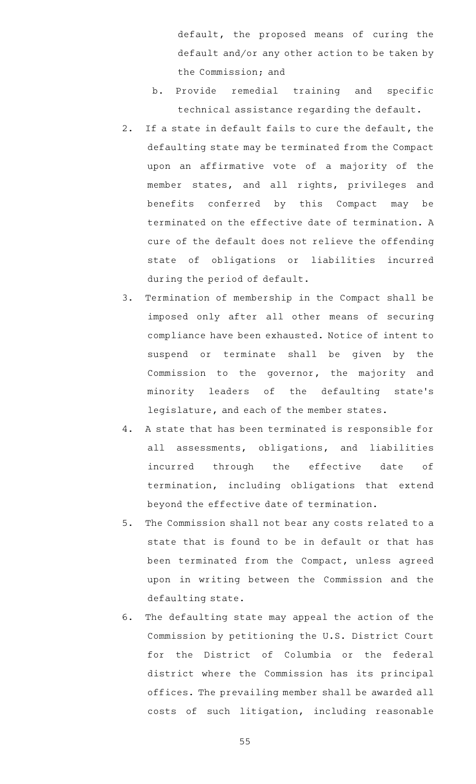default, the proposed means of curing the default and/or any other action to be taken by the Commission; and

- b. Provide remedial training and specific technical assistance regarding the default.
- 2. If a state in default fails to cure the default, the defaulting state may be terminated from the Compact upon an affirmative vote of a majority of the member states, and all rights, privileges and benefits conferred by this Compact may be terminated on the effective date of termination. A cure of the default does not relieve the offending state of obligations or liabilities incurred during the period of default.
- 3. Termination of membership in the Compact shall be imposed only after all other means of securing compliance have been exhausted. Notice of intent to suspend or terminate shall be given by the Commission to the governor, the majority and minority leaders of the defaulting state 's legislature, and each of the member states.
- 4. A state that has been terminated is responsible for all assessments, obligations, and liabilities incurred through the effective date of termination, including obligations that extend beyond the effective date of termination.
- 5. The Commission shall not bear any costs related to a state that is found to be in default or that has been terminated from the Compact, unless agreed upon in writing between the Commission and the defaulting state.
- 6. The defaulting state may appeal the action of the Commission by petitioning the U.S. District Court for the District of Columbia or the federal district where the Commission has its principal offices. The prevailing member shall be awarded all costs of such litigation, including reasonable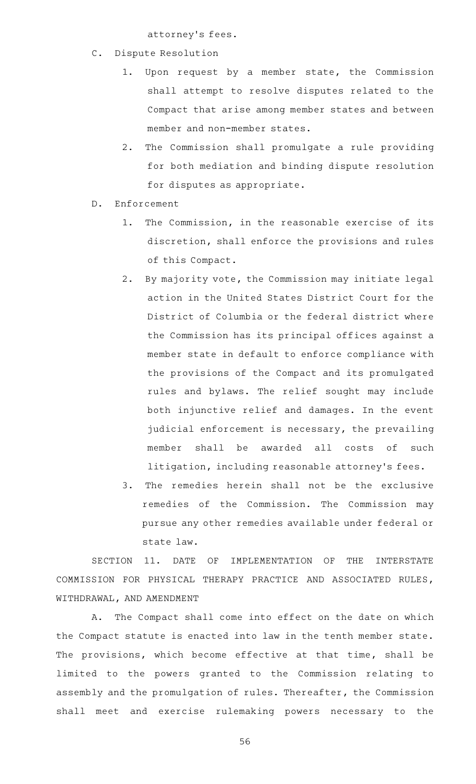attorney 's fees.

- C. Dispute Resolution
	- 1. Upon request by a member state, the Commission shall attempt to resolve disputes related to the Compact that arise among member states and between member and non-member states.
	- 2. The Commission shall promulgate a rule providing for both mediation and binding dispute resolution for disputes as appropriate.
- D. Enforcement
	- 1. The Commission, in the reasonable exercise of its discretion, shall enforce the provisions and rules of this Compact.
	- 2. By majority vote, the Commission may initiate legal action in the United States District Court for the District of Columbia or the federal district where the Commission has its principal offices against a member state in default to enforce compliance with the provisions of the Compact and its promulgated rules and bylaws. The relief sought may include both injunctive relief and damages. In the event judicial enforcement is necessary, the prevailing member shall be awarded all costs of such litigation, including reasonable attorney 's fees.
	- 3. The remedies herein shall not be the exclusive remedies of the Commission. The Commission may pursue any other remedies available under federal or state law.

SECTION 11. DATE OF IMPLEMENTATION OF THE INTERSTATE COMMISSION FOR PHYSICAL THERAPY PRACTICE AND ASSOCIATED RULES, WITHDRAWAL, AND AMENDMENT

A. The Compact shall come into effect on the date on which the Compact statute is enacted into law in the tenth member state. The provisions, which become effective at that time, shall be limited to the powers granted to the Commission relating to assembly and the promulgation of rules. Thereafter, the Commission shall meet and exercise rulemaking powers necessary to the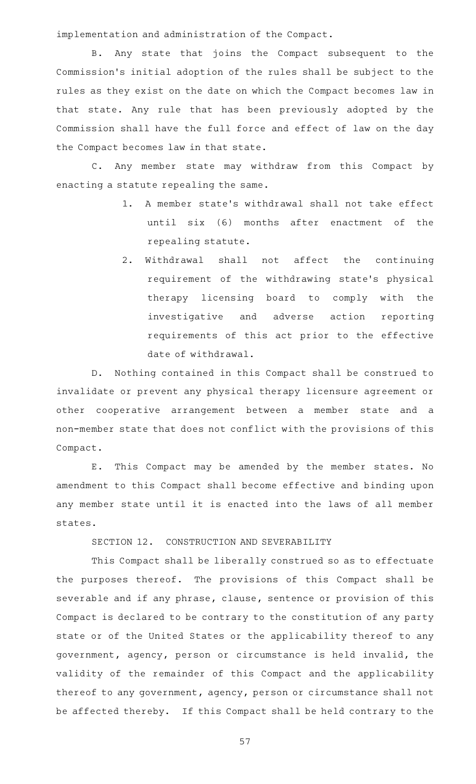implementation and administration of the Compact.

B. Any state that joins the Compact subsequent to the Commission 's initial adoption of the rules shall be subject to the rules as they exist on the date on which the Compact becomes law in that state. Any rule that has been previously adopted by the Commission shall have the full force and effect of law on the day the Compact becomes law in that state.

C. Any member state may withdraw from this Compact by enacting a statute repealing the same.

- 1. A member state's withdrawal shall not take effect until six (6) months after enactment of the repealing statute.
- 2. Withdrawal shall not affect the continuing requirement of the withdrawing state 's physical therapy licensing board to comply with the investigative and adverse action reporting requirements of this act prior to the effective date of withdrawal.

D. Nothing contained in this Compact shall be construed to invalidate or prevent any physical therapy licensure agreement or other cooperative arrangement between a member state and a non-member state that does not conflict with the provisions of this Compact.

E. This Compact may be amended by the member states. No amendment to this Compact shall become effective and binding upon any member state until it is enacted into the laws of all member states.

SECTION 12. CONSTRUCTION AND SEVERABILITY

This Compact shall be liberally construed so as to effectuate the purposes thereof. The provisions of this Compact shall be severable and if any phrase, clause, sentence or provision of this Compact is declared to be contrary to the constitution of any party state or of the United States or the applicability thereof to any government, agency, person or circumstance is held invalid, the validity of the remainder of this Compact and the applicability thereof to any government, agency, person or circumstance shall not be affected thereby. If this Compact shall be held contrary to the